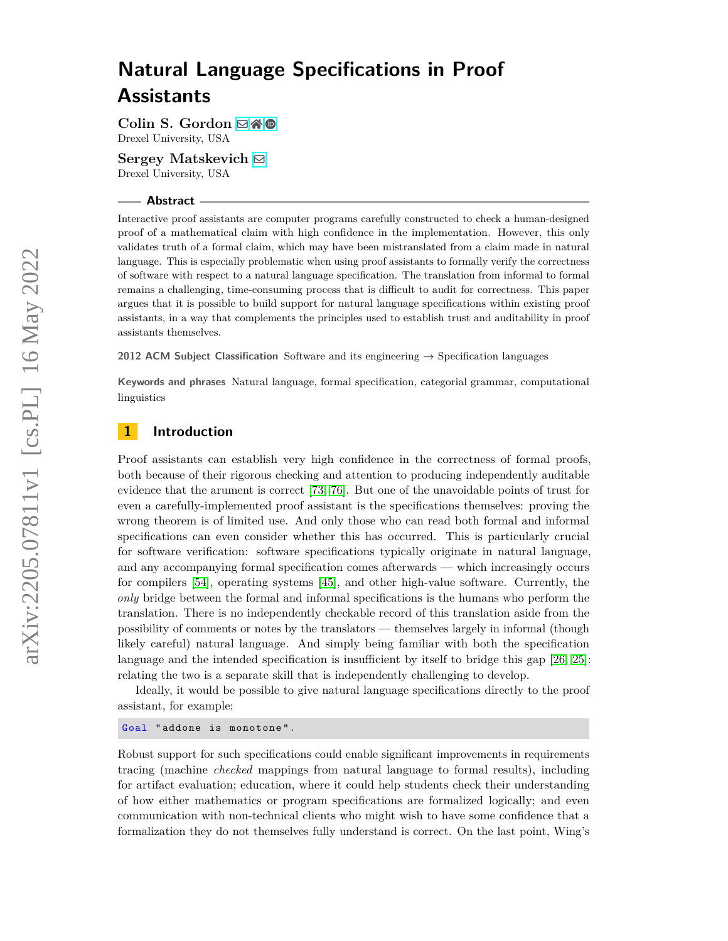Colin S. Gordon **⊠ i ®** Drexel University, USA

**Sergey Matskevich** [!](mailto:sm3372@drexel.edu) Drexel University, USA

#### **Abstract**

Interactive proof assistants are computer programs carefully constructed to check a human-designed proof of a mathematical claim with high confidence in the implementation. However, this only validates truth of a formal claim, which may have been mistranslated from a claim made in natural language. This is especially problematic when using proof assistants to formally verify the correctness of software with respect to a natural language specification. The translation from informal to formal remains a challenging, time-consuming process that is difficult to audit for correctness. This paper argues that it is possible to build support for natural language specifications within existing proof assistants, in a way that complements the principles used to establish trust and auditability in proof assistants themselves.

**2012 ACM Subject Classification** Software and its engineering → Specification languages

**Keywords and phrases** Natural language, formal specification, categorial grammar, computational linguistics

## **1 Introduction**

Proof assistants can establish very high confidence in the correctness of formal proofs, both because of their rigorous checking and attention to producing independently auditable evidence that the arument is correct [\[73,](#page-20-0) [76\]](#page-20-1). But one of the unavoidable points of trust for even a carefully-implemented proof assistant is the specifications themselves: proving the wrong theorem is of limited use. And only those who can read both formal and informal specifications can even consider whether this has occurred. This is particularly crucial for software verification: software specifications typically originate in natural language, and any accompanying formal specification comes afterwards — which increasingly occurs for compilers [\[54\]](#page-19-0), operating systems [\[45\]](#page-19-1), and other high-value software. Currently, the *only* bridge between the formal and informal specifications is the humans who perform the translation. There is no independently checkable record of this translation aside from the possibility of comments or notes by the translators — themselves largely in informal (though likely careful) natural language. And simply being familiar with both the specification language and the intended specification is insufficient by itself to bridge this gap [\[26,](#page-18-0) [25\]](#page-18-1): relating the two is a separate skill that is independently challenging to develop.

Ideally, it would be possible to give natural language specifications directly to the proof assistant, for example:

Goal " addone is monotone ".

Robust support for such specifications could enable significant improvements in requirements tracing (machine *checked* mappings from natural language to formal results), including for artifact evaluation; education, where it could help students check their understanding of how either mathematics or program specifications are formalized logically; and even communication with non-technical clients who might wish to have some confidence that a formalization they do not themselves fully understand is correct. On the last point, Wing's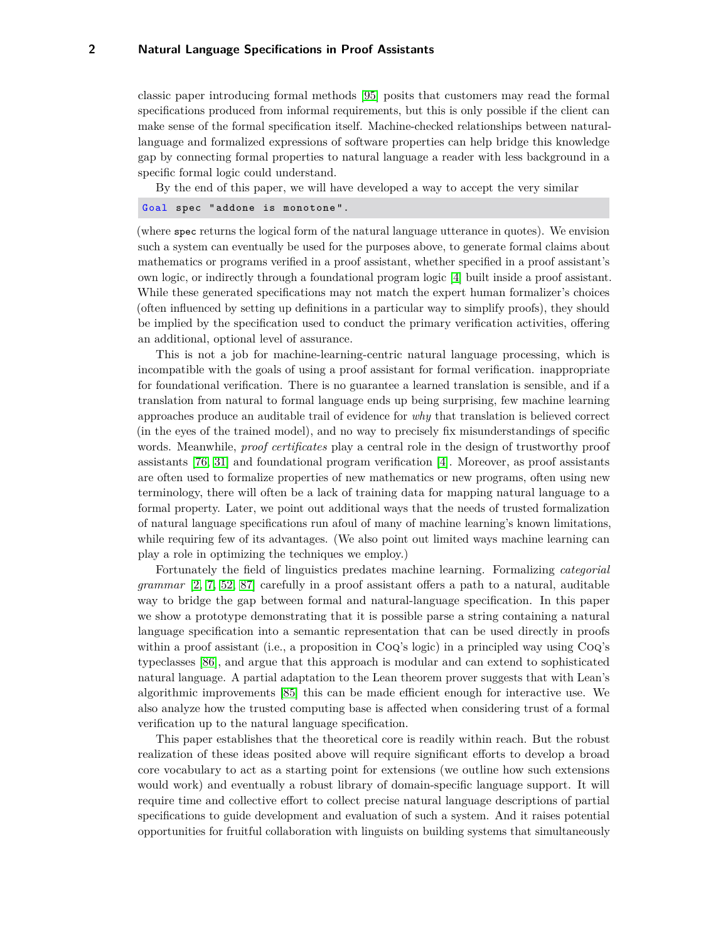classic paper introducing formal methods [\[95\]](#page-21-0) posits that customers may read the formal specifications produced from informal requirements, but this is only possible if the client can make sense of the formal specification itself. Machine-checked relationships between naturallanguage and formalized expressions of software properties can help bridge this knowledge gap by connecting formal properties to natural language a reader with less background in a specific formal logic could understand.

By the end of this paper, we will have developed a way to accept the very similar

Goal spec " addone is monotone ".

(where spec returns the logical form of the natural language utterance in quotes). We envision such a system can eventually be used for the purposes above, to generate formal claims about mathematics or programs verified in a proof assistant, whether specified in a proof assistant's own logic, or indirectly through a foundational program logic [\[4\]](#page-17-0) built inside a proof assistant. While these generated specifications may not match the expert human formalizer's choices (often influenced by setting up definitions in a particular way to simplify proofs), they should be implied by the specification used to conduct the primary verification activities, offering an additional, optional level of assurance.

This is not a job for machine-learning-centric natural language processing, which is incompatible with the goals of using a proof assistant for formal verification. inappropriate for foundational verification. There is no guarantee a learned translation is sensible, and if a translation from natural to formal language ends up being surprising, few machine learning approaches produce an auditable trail of evidence for *why* that translation is believed correct (in the eyes of the trained model), and no way to precisely fix misunderstandings of specific words. Meanwhile, *proof certificates* play a central role in the design of trustworthy proof assistants [\[76,](#page-20-1) [31\]](#page-18-2) and foundational program verification [\[4\]](#page-17-0). Moreover, as proof assistants are often used to formalize properties of new mathematics or new programs, often using new terminology, there will often be a lack of training data for mapping natural language to a formal property. Later, we point out additional ways that the needs of trusted formalization of natural language specifications run afoul of many of machine learning's known limitations, while requiring few of its advantages. (We also point out limited ways machine learning can play a role in optimizing the techniques we employ.)

Fortunately the field of linguistics predates machine learning. Formalizing *categorial grammar* [\[2,](#page-17-1) [7,](#page-17-2) [52,](#page-19-2) [87\]](#page-21-1) carefully in a proof assistant offers a path to a natural, auditable way to bridge the gap between formal and natural-language specification. In this paper we show a prototype demonstrating that it is possible parse a string containing a natural language specification into a semantic representation that can be used directly in proofs within a proof assistant (i.e., a proposition in CoQ's logic) in a principled way using CoQ's typeclasses [\[86\]](#page-21-2), and argue that this approach is modular and can extend to sophisticated natural language. A partial adaptation to the Lean theorem prover suggests that with Lean's algorithmic improvements [\[85\]](#page-21-3) this can be made efficient enough for interactive use. We also analyze how the trusted computing base is affected when considering trust of a formal verification up to the natural language specification.

This paper establishes that the theoretical core is readily within reach. But the robust realization of these ideas posited above will require significant efforts to develop a broad core vocabulary to act as a starting point for extensions (we outline how such extensions would work) and eventually a robust library of domain-specific language support. It will require time and collective effort to collect precise natural language descriptions of partial specifications to guide development and evaluation of such a system. And it raises potential opportunities for fruitful collaboration with linguists on building systems that simultaneously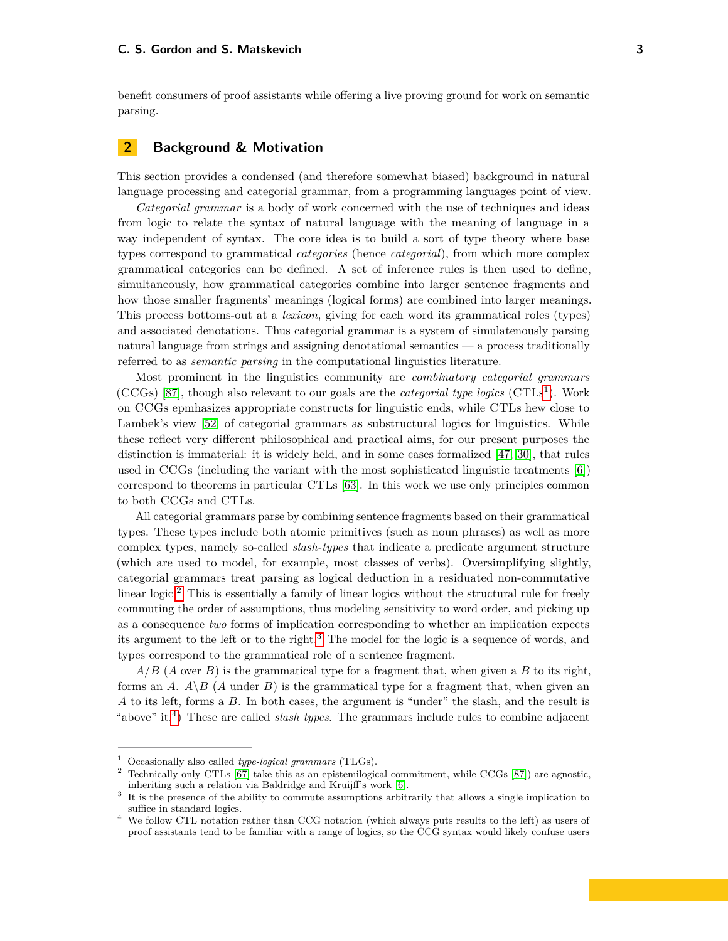benefit consumers of proof assistants while offering a live proving ground for work on semantic parsing.

## **2 Background & Motivation**

This section provides a condensed (and therefore somewhat biased) background in natural language processing and categorial grammar, from a programming languages point of view.

*Categorial grammar* is a body of work concerned with the use of techniques and ideas from logic to relate the syntax of natural language with the meaning of language in a way independent of syntax. The core idea is to build a sort of type theory where base types correspond to grammatical *categories* (hence *categorial*), from which more complex grammatical categories can be defined. A set of inference rules is then used to define, simultaneously, how grammatical categories combine into larger sentence fragments and how those smaller fragments' meanings (logical forms) are combined into larger meanings. This process bottoms-out at a *lexicon*, giving for each word its grammatical roles (types) and associated denotations. Thus categorial grammar is a system of simulatenously parsing natural language from strings and assigning denotational semantics — a process traditionally referred to as *semantic parsing* in the computational linguistics literature.

Most prominent in the linguistics community are *combinatory categorial grammars* (CCGs) [\[87\]](#page-21-1), though also relevant to our goals are the *categorial type logics* (CTLs [1](#page-2-0) ). Work on CCGs epmhasizes appropriate constructs for linguistic ends, while CTLs hew close to Lambek's view [\[52\]](#page-19-2) of categorial grammars as substructural logics for linguistics. While these reflect very different philosophical and practical aims, for our present purposes the distinction is immaterial: it is widely held, and in some cases formalized [\[47,](#page-19-3) [30\]](#page-18-3), that rules used in CCGs (including the variant with the most sophisticated linguistic treatments [\[6\]](#page-17-3)) correspond to theorems in particular CTLs [\[63\]](#page-20-2). In this work we use only principles common to both CCGs and CTLs.

All categorial grammars parse by combining sentence fragments based on their grammatical types. These types include both atomic primitives (such as noun phrases) as well as more complex types, namely so-called *slash-types* that indicate a predicate argument structure (which are used to model, for example, most classes of verbs). Oversimplifying slightly, categorial grammars treat parsing as logical deduction in a residuated non-commutative linear logic.<sup>[2](#page-2-1)</sup> This is essentially a family of linear logics without the structural rule for freely commuting the order of assumptions, thus modeling sensitivity to word order, and picking up as a consequence *two* forms of implication corresponding to whether an implication expects its argument to the left or to the right.[3](#page-2-2) The model for the logic is a sequence of words, and types correspond to the grammatical role of a sentence fragment.

*A/B* (*A* over *B*) is the grammatical type for a fragment that, when given a *B* to its right, forms an *A*.  $A \setminus B$  (*A* under *B*) is the grammatical type for a fragment that, when given an *A* to its left, forms a *B*. In both cases, the argument is "under" the slash, and the result is "above" it.[4](#page-2-3) ) These are called *slash types*. The grammars include rules to combine adjacent

<span id="page-2-0"></span><sup>1</sup> Occasionally also called *type-logical grammars* (TLGs).

<span id="page-2-1"></span><sup>2</sup> Technically only CTLs [\[67\]](#page-20-3) take this as an epistemilogical commitment, while CCGs [\[87\]](#page-21-1)) are agnostic, inheriting such a relation via Baldridge and Kruijff's work [\[6\]](#page-17-3).

<span id="page-2-2"></span><sup>3</sup> It is the presence of the ability to commute assumptions arbitrarily that allows a single implication to suffice in standard logics.

<span id="page-2-3"></span><sup>4</sup> We follow CTL notation rather than CCG notation (which always puts results to the left) as users of proof assistants tend to be familiar with a range of logics, so the CCG syntax would likely confuse users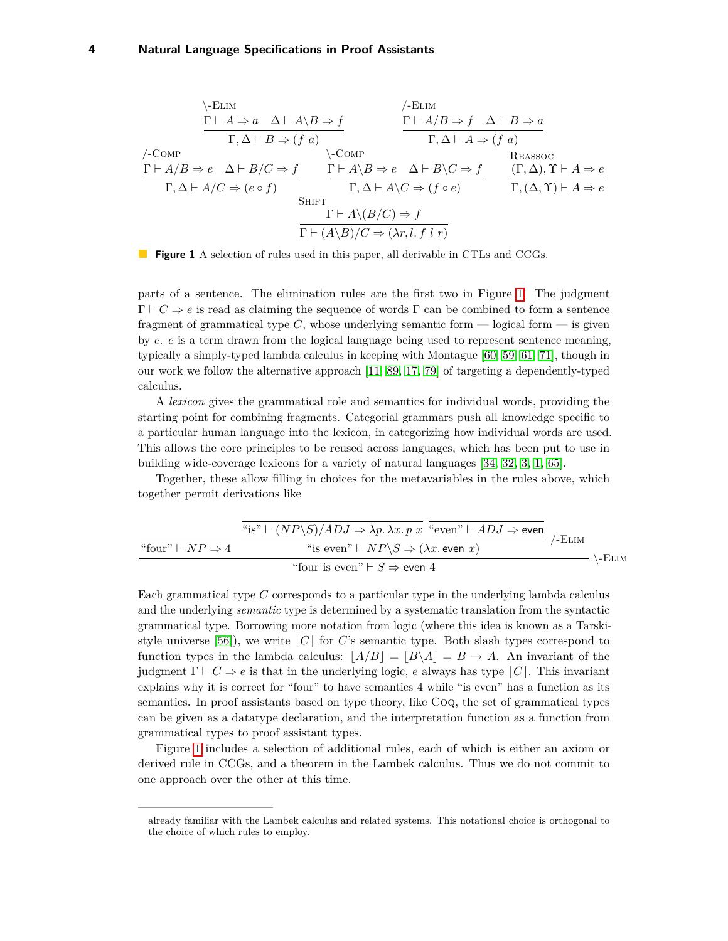<span id="page-3-0"></span>
$$
\frac{\Gamma \vdash A \Rightarrow a \quad \Delta \vdash A \setminus B \Rightarrow f \qquad \Gamma \vdash A/B \Rightarrow f \quad \Delta \vdash B \Rightarrow a}{\Gamma, \Delta \vdash B \Rightarrow (f \ a)} \qquad \frac{\Gamma \vdash A/B \Rightarrow f \quad \Delta \vdash B \Rightarrow a}{\Gamma, \Delta \vdash A \Rightarrow (f \ a)} \qquad \frac{\Gamma \vdash A/B \Rightarrow f \quad \Delta \vdash B \Rightarrow a}{\Gamma, \Delta \vdash A \Rightarrow (f \ a)} \qquad \frac{\Gamma \vdash A \setminus B \Rightarrow e \quad \Delta \vdash B \setminus C \Rightarrow f}{\Gamma, \Delta \vdash A \setminus C \Rightarrow (f \circ e)} \qquad \frac{\Gamma \vdash A \setminus B \Rightarrow e \quad \Delta \vdash B \setminus C \Rightarrow f}{\Gamma, (\Delta, \Upsilon) \vdash A \Rightarrow e} \qquad \frac{(\Gamma, \Delta), \Upsilon \vdash A \Rightarrow e}{\Gamma, (\Delta, \Upsilon) \vdash A \Rightarrow e} \qquad \frac{\Gamma \vdash A \setminus (B/C) \Rightarrow f}{\Gamma \vdash (A \setminus B) / C \Rightarrow (\lambda r, l, f \ l \ r)}
$$



parts of a sentence. The elimination rules are the first two in Figure [1.](#page-3-0) The judgment  $\Gamma \vdash C \Rightarrow e$  is read as claiming the sequence of words  $\Gamma$  can be combined to form a sentence fragment of grammatical type *C*, whose underlying semantic form — logical form — is given by *e*. *e* is a term drawn from the logical language being used to represent sentence meaning, typically a simply-typed lambda calculus in keeping with Montague [\[60,](#page-20-4) [59,](#page-19-4) [61,](#page-20-5) [71\]](#page-20-6), though in our work we follow the alternative approach [\[11,](#page-17-4) [89,](#page-21-4) [17,](#page-17-5) [79\]](#page-20-7) of targeting a dependently-typed calculus.

A *lexicon* gives the grammatical role and semantics for individual words, providing the starting point for combining fragments. Categorial grammars push all knowledge specific to a particular human language into the lexicon, in categorizing how individual words are used. This allows the core principles to be reused across languages, which has been put to use in building wide-coverage lexicons for a variety of natural languages [\[34,](#page-18-4) [32,](#page-18-5) [3,](#page-17-6) [1,](#page-16-0) [65\]](#page-20-8).

Together, these allow filling in choices for the metavariables in the rules above, which together permit derivations like

|                                  | "is" $\vdash (NP \backslash S)/ADJ \Rightarrow \lambda p. \lambda x. p x$ "even" $\vdash ADJ \Rightarrow$ even | /-Elim |        |
|----------------------------------|----------------------------------------------------------------------------------------------------------------|--------|--------|
| "four" $\vdash NP \Rightarrow 4$ | "is even" $\vdash NP\backslash S \Rightarrow (\lambda x.$ even x)                                              |        | \-Elim |
|                                  | "four is even" $\vdash S \Rightarrow$ even 4                                                                   |        |        |

Each grammatical type *C* corresponds to a particular type in the underlying lambda calculus and the underlying *semantic* type is determined by a systematic translation from the syntactic grammatical type. Borrowing more notation from logic (where this idea is known as a Tarski-style universe [\[56\]](#page-19-5)), we write  $|C|$  for *C*'s semantic type. Both slash types correspond to function types in the lambda calculus:  $|A/B| = |B \setminus A| = B \rightarrow A$ . An invariant of the judgment  $\Gamma \vdash C \Rightarrow e$  is that in the underlying logic, *e* always has type  $|C|$ . This invariant explains why it is correct for "four" to have semantics 4 while "is even" has a function as its semantics. In proof assistants based on type theory, like Coq, the set of grammatical types can be given as a datatype declaration, and the interpretation function as a function from grammatical types to proof assistant types.

Figure [1](#page-3-0) includes a selection of additional rules, each of which is either an axiom or derived rule in CCGs, and a theorem in the Lambek calculus. Thus we do not commit to one approach over the other at this time.

already familiar with the Lambek calculus and related systems. This notational choice is orthogonal to the choice of which rules to employ.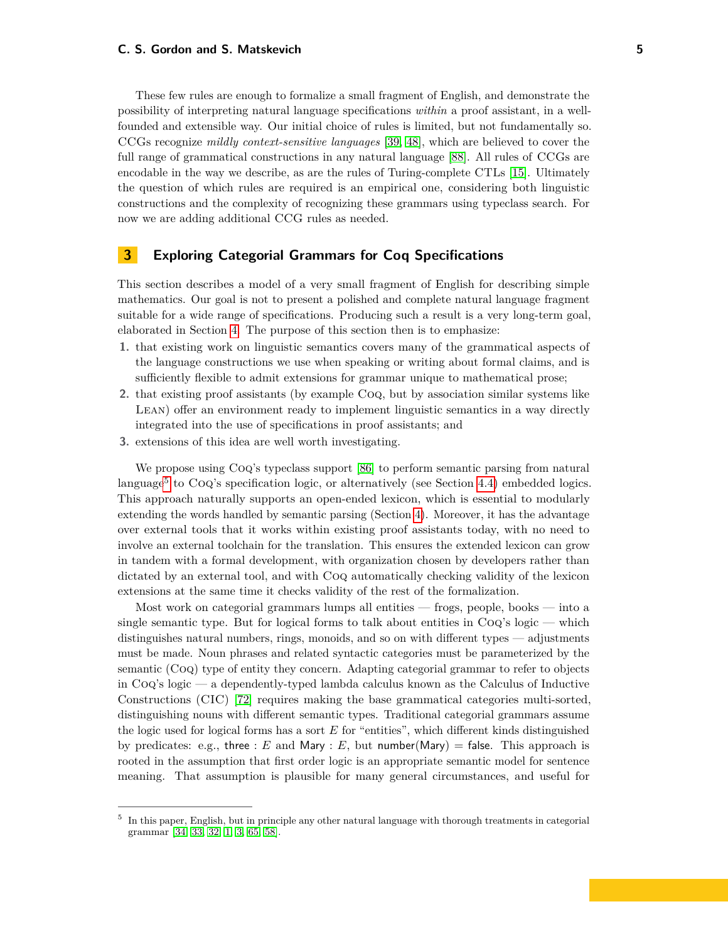These few rules are enough to formalize a small fragment of English, and demonstrate the possibility of interpreting natural language specifications *within* a proof assistant, in a wellfounded and extensible way. Our initial choice of rules is limited, but not fundamentally so. CCGs recognize *mildly context-sensitive languages* [\[39,](#page-18-6) [48\]](#page-19-6), which are believed to cover the full range of grammatical constructions in any natural language [\[88\]](#page-21-5). All rules of CCGs are encodable in the way we describe, as are the rules of Turing-complete CTLs [\[15\]](#page-17-7). Ultimately the question of which rules are required is an empirical one, considering both linguistic constructions and the complexity of recognizing these grammars using typeclass search. For now we are adding additional CCG rules as needed.

# <span id="page-4-1"></span>**3 Exploring Categorial Grammars for Coq Specifications**

This section describes a model of a very small fragment of English for describing simple mathematics. Our goal is not to present a polished and complete natural language fragment suitable for a wide range of specifications. Producing such a result is a very long-term goal, elaborated in Section [4.](#page-10-0) The purpose of this section then is to emphasize:

- **1.** that existing work on linguistic semantics covers many of the grammatical aspects of the language constructions we use when speaking or writing about formal claims, and is sufficiently flexible to admit extensions for grammar unique to mathematical prose;
- **2.** that existing proof assistants (by example Coq, but by association similar systems like Lean) offer an environment ready to implement linguistic semantics in a way directly integrated into the use of specifications in proof assistants; and
- **3.** extensions of this idea are well worth investigating.

We propose using Coq's typeclass support [\[86\]](#page-21-2) to perform semantic parsing from natural language<sup>[5](#page-4-0)</sup> to CoQ's specification logic, or alternatively (see Section [4.4\)](#page-12-0) embedded logics. This approach naturally supports an open-ended lexicon, which is essential to modularly extending the words handled by semantic parsing (Section [4\)](#page-10-0). Moreover, it has the advantage over external tools that it works within existing proof assistants today, with no need to involve an external toolchain for the translation. This ensures the extended lexicon can grow in tandem with a formal development, with organization chosen by developers rather than dictated by an external tool, and with Coq automatically checking validity of the lexicon extensions at the same time it checks validity of the rest of the formalization.

Most work on categorial grammars lumps all entities — frogs, people, books — into a single semantic type. But for logical forms to talk about entities in  $Coq's logic$  — which distinguishes natural numbers, rings, monoids, and so on with different types — adjustments must be made. Noun phrases and related syntactic categories must be parameterized by the semantic (Coq) type of entity they concern. Adapting categorial grammar to refer to objects in Coq's logic — a dependently-typed lambda calculus known as the Calculus of Inductive Constructions (CIC) [\[72\]](#page-20-9) requires making the base grammatical categories multi-sorted, distinguishing nouns with different semantic types. Traditional categorial grammars assume the logic used for logical forms has a sort *E* for "entities", which different kinds distinguished by predicates: e.g., three :  $E$  and Mary :  $E$ , but number(Mary) = false. This approach is rooted in the assumption that first order logic is an appropriate semantic model for sentence meaning. That assumption is plausible for many general circumstances, and useful for

<span id="page-4-0"></span><sup>5</sup> In this paper, English, but in principle any other natural language with thorough treatments in categorial grammar [\[34,](#page-18-4) [33,](#page-18-7) [32,](#page-18-5) [1,](#page-16-0) [3,](#page-17-6) [65,](#page-20-8) [58\]](#page-19-7).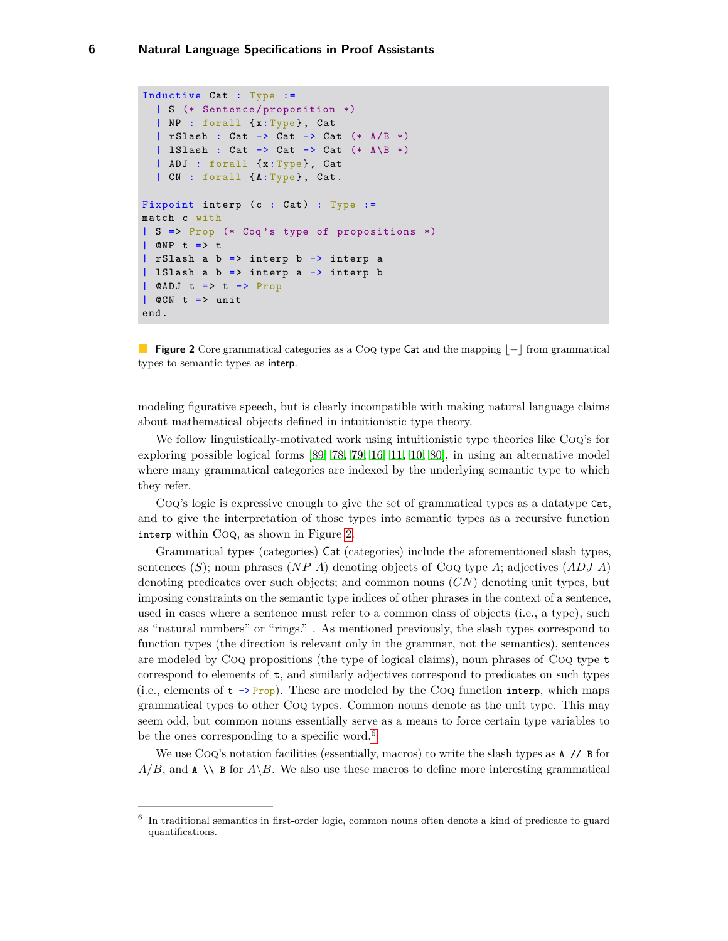```
Inductive Cat : Type :=
  | S (* Sentence / proposition *)
  | NP : forall {x:Type}, Cat
  | rSlash : Cat \rightarrow Cat \rightarrow Cat (* A/B *)| 1Slash : Cat \rightarrow Cat \rightarrow Cat (* A \B *)
  | ADJ : forall {x: Type}, Cat
  | CN : forall {A: Type}, Cat.
Fixpoint interp (c : Cat): Type :=
match c with
| S => Prop (* Coq 's type of propositions *)
| @NP t => t
| rSlash a b => interp b -> interp a
| lSlash a b => interp a -> interp b
| @ADJ t => t -> Prop
| @CN t => unit
end .
```
**Figure 2** Core grammatical categories as a Coq type Cat and the mapping  $|-|$  from grammatical types to semantic types as interp.

modeling figurative speech, but is clearly incompatible with making natural language claims about mathematical objects defined in intuitionistic type theory.

We follow linguistically-motivated work using intuitionistic type theories like Coq's for exploring possible logical forms [\[89,](#page-21-4) [78,](#page-20-10) [79,](#page-20-7) [16,](#page-17-8) [11,](#page-17-4) [10,](#page-17-9) [80\]](#page-20-11), in using an alternative model where many grammatical categories are indexed by the underlying semantic type to which they refer.

Coq's logic is expressive enough to give the set of grammatical types as a datatype Cat, and to give the interpretation of those types into semantic types as a recursive function interp within Coq, as shown in Figure [2.](#page-5-0)

Grammatical types (categories) Cat (categories) include the aforementioned slash types, sentences (*S*); noun phrases (*NP A*) denoting objects of Coq type *A*; adjectives (*ADJ A*) denoting predicates over such objects; and common nouns (*CN*) denoting unit types, but imposing constraints on the semantic type indices of other phrases in the context of a sentence, used in cases where a sentence must refer to a common class of objects (i.e., a type), such as "natural numbers" or "rings." . As mentioned previously, the slash types correspond to function types (the direction is relevant only in the grammar, not the semantics), sentences are modeled by  $\text{Cog}$  propositions (the type of logical claims), noun phrases of  $\text{Cog}$  type  $t$ correspond to elements of t, and similarly adjectives correspond to predicates on such types (i.e., elements of  $t \rightarrow Prop$ ). These are modeled by the CoQ function interp, which maps grammatical types to other Coq types. Common nouns denote as the unit type. This may seem odd, but common nouns essentially serve as a means to force certain type variables to be the ones corresponding to a specific word.<sup>[6](#page-5-1)</sup>

We use CoQ's notation facilities (essentially, macros) to write the slash types as  $A$  // B for  $A/B$ , and  $A \setminus B$  for  $A \setminus B$ . We also use these macros to define more interesting grammatical

<span id="page-5-1"></span><sup>6</sup> In traditional semantics in first-order logic, common nouns often denote a kind of predicate to guard quantifications.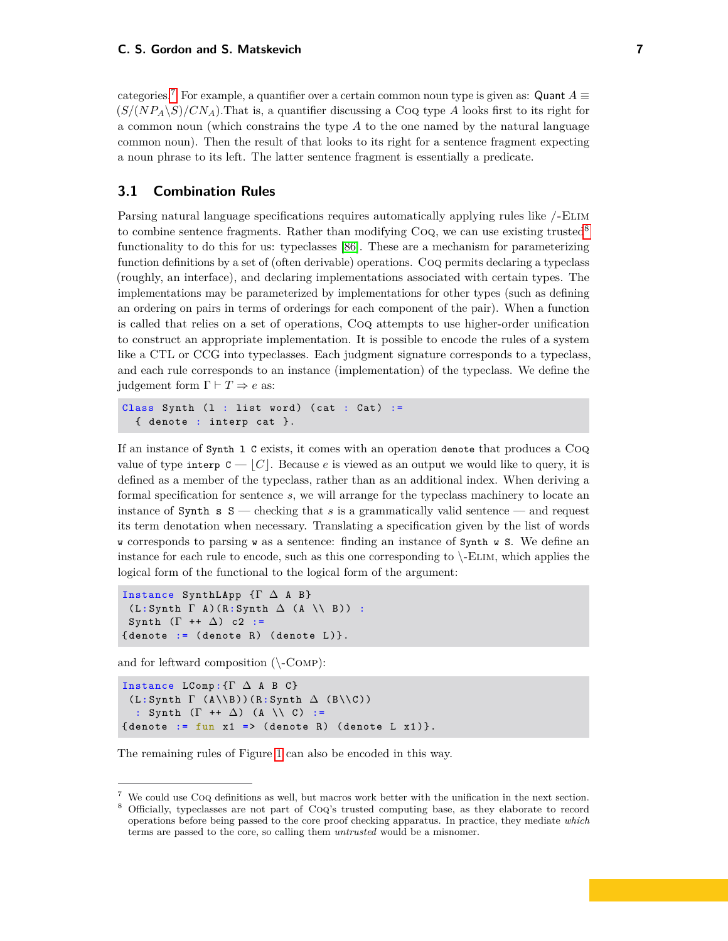categories.<sup>[7](#page-6-0)</sup> For example, a quantifier over a certain common noun type is given as: Quant  $A \equiv$  $(S/(NP<sub>A</sub>\ S)/CN<sub>A</sub>)$ . That is, a quantifier discussing a Coq type *A* looks first to its right for a common noun (which constrains the type *A* to the one named by the natural language common noun). Then the result of that looks to its right for a sentence fragment expecting a noun phrase to its left. The latter sentence fragment is essentially a predicate.

## **3.1 Combination Rules**

Parsing natural language specifications requires automatically applying rules like /-Elim to combine sentence fragments. Rather than modifying CoQ, we can use existing trusted<sup>[8](#page-6-1)</sup> functionality to do this for us: typeclasses [\[86\]](#page-21-2). These are a mechanism for parameterizing function definitions by a set of (often derivable) operations. Coq permits declaring a typeclass (roughly, an interface), and declaring implementations associated with certain types. The implementations may be parameterized by implementations for other types (such as defining an ordering on pairs in terms of orderings for each component of the pair). When a function is called that relies on a set of operations, Coq attempts to use higher-order unification to construct an appropriate implementation. It is possible to encode the rules of a system like a CTL or CCG into typeclasses. Each judgment signature corresponds to a typeclass, and each rule corresponds to an instance (implementation) of the typeclass. We define the judgement form  $\Gamma \vdash T \Rightarrow e$  as:

```
Class Synth (1 : list word) (cat : Cat) :=
  { denote : interp cat }.
```
If an instance of Synth l C exists, it comes with an operation denote that produces a Coq value of type interp  $C - |C|$ . Because *e* is viewed as an output we would like to query, it is defined as a member of the typeclass, rather than as an additional index. When deriving a formal specification for sentence *s*, we will arrange for the typeclass machinery to locate an instance of Synth  $s$  S — checking that *s* is a grammatically valid sentence — and request its term denotation when necessary. Translating a specification given by the list of words w corresponds to parsing w as a sentence: finding an instance of Synth w S. We define an instance for each rule to encode, such as this one corresponding to \-Elim, which applies the logical form of the functional to the logical form of the argument:

```
Instance SynthLApp {Γ ∆ A B }
 (L:Synth \Gamma A) (R: Synth \Delta (A \\ B)) :
Synth (\Gamma + \Delta) c2 :=
{denote := (denote R) (denote L)}.
```
and for leftward composition  $(\mathcal{C}_{\text{COMP}})$ :

```
Instance LComp: \{\Gamma \Delta A B C\}(L: Synth \Gamma (A\Bbb \Bbb C))(R:Synth \Delta (B\Bbb \Bbb C)): Synth (\Gamma + \Delta) (A \\ C) :=
{denote := fun x1 => (denote R) (denote L x1)}.
```
The remaining rules of Figure [1](#page-3-0) can also be encoded in this way.

<span id="page-6-0"></span><sup>7</sup> We could use Coq definitions as well, but macros work better with the unification in the next section.

<span id="page-6-1"></span><sup>8</sup> Officially, typeclasses are not part of Coq's trusted computing base, as they elaborate to record operations before being passed to the core proof checking apparatus. In practice, they mediate *which* terms are passed to the core, so calling them *untrusted* would be a misnomer.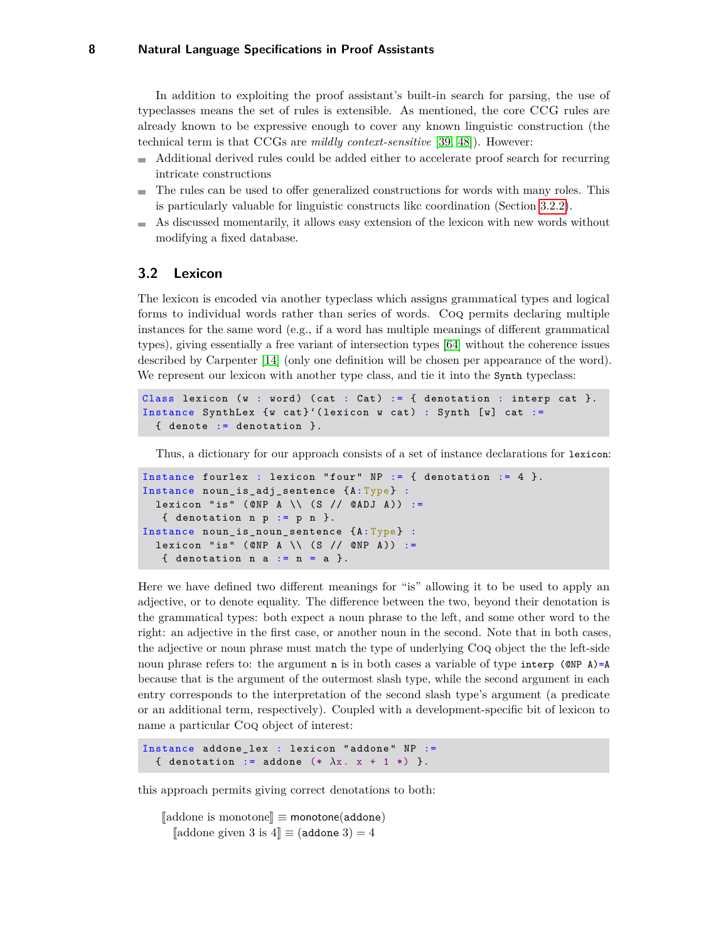In addition to exploiting the proof assistant's built-in search for parsing, the use of typeclasses means the set of rules is extensible. As mentioned, the core CCG rules are already known to be expressive enough to cover any known linguistic construction (the technical term is that CCGs are *mildly context-sensitive* [\[39,](#page-18-6) [48\]](#page-19-6)). However:

- Additional derived rules could be added either to accelerate proof search for recurring intricate constructions
- The rules can be used to offer generalized constructions for words with many roles. This is particularly valuable for linguistic constructs likc coordination (Section [3.2.2\)](#page-8-0).
- As discussed momentarily, it allows easy extension of the lexicon with new words without modifying a fixed database.

## **3.2 Lexicon**

The lexicon is encoded via another typeclass which assigns grammatical types and logical forms to individual words rather than series of words. Coq permits declaring multiple instances for the same word (e.g., if a word has multiple meanings of different grammatical types), giving essentially a free variant of intersection types [\[64\]](#page-20-12) without the coherence issues described by Carpenter [\[14\]](#page-17-10) (only one definition will be chosen per appearance of the word). We represent our lexicon with another type class, and tie it into the Synth typeclass:

```
Class lexicon (w : word) (cat : Cat) := { denotation : interp cat }.
Instance SynthLex \{w \; \text{cat}\}' (lexicon w cat) : Synth [w] cat :=
  { denote := denotation }.
```
Thus, a dictionary for our approach consists of a set of instance declarations for lexicon:

```
Instance fourlex : lexicon "four" NP := \{ denotation := 4 \}.
Instance noun_is_adj_sentence {A: Type} :
 lexicon "is" (@NP A \\ (S // @ADJ A)) :=
   \{ denotation n p := p n \}.
Instance noun_is_noun_sentence {A: Type} :
  lexicon "is" (@NP A \\ (S // @NP A)) :=
   { denotation n a := n = a }.
```
Here we have defined two different meanings for "is" allowing it to be used to apply an adjective, or to denote equality. The difference between the two, beyond their denotation is the grammatical types: both expect a noun phrase to the left, and some other word to the right: an adjective in the first case, or another noun in the second. Note that in both cases, the adjective or noun phrase must match the type of underlying Coq object the the left-side noun phrase refers to: the argument n is in both cases a variable of type interp ( $\mathsf{QNP}$  A)=A because that is the argument of the outermost slash type, while the second argument in each entry corresponds to the interpretation of the second slash type's argument (a predicate or an additional term, respectively). Coupled with a development-specific bit of lexicon to name a particular Coq object of interest:

```
Instance addone_lex : lexicon "addone" NP :=
  { denotation := addone (* \lambda x. x + 1 *) }.
```
this approach permits giving correct denotations to both:

<sup>J</sup>addone is monotone<sup>K</sup> <sup>≡</sup> monotone(addone)  $\llbracket$ addone given 3 is 4 $\llbracket$  ≡ (addone 3) = 4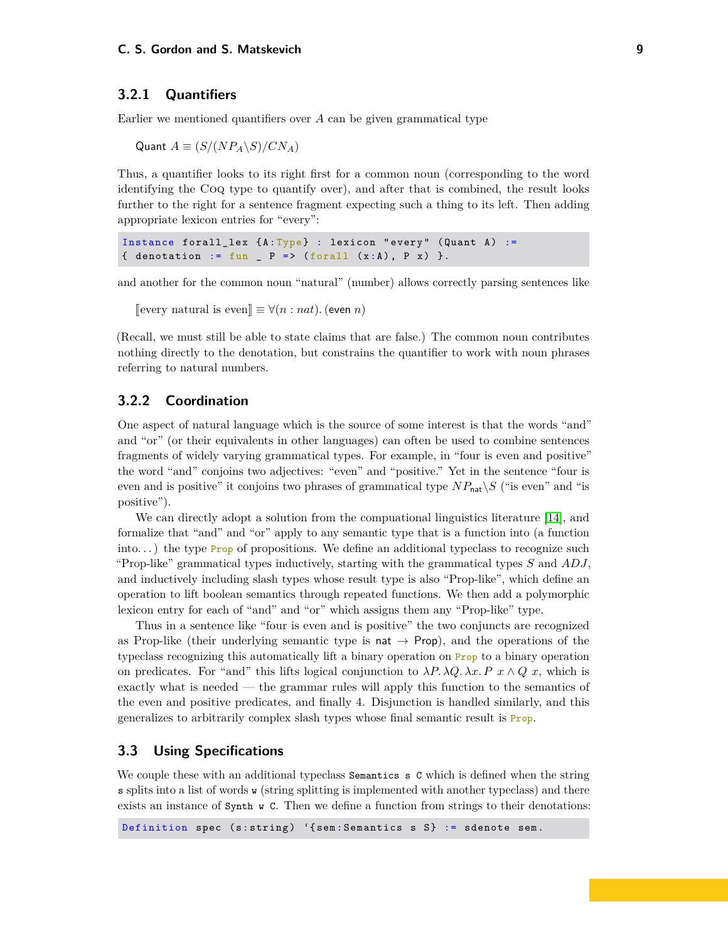#### **3.2.1 Quantifiers**

Earlier we mentioned quantifiers over *A* can be given grammatical type

Quant  $A \equiv (S/(NP_A \backslash S)/CN_A)$ 

Thus, a quantifier looks to its right first for a common noun (corresponding to the word identifying the Coq type to quantify over), and after that is combined, the result looks further to the right for a sentence fragment expecting such a thing to its left. Then adding appropriate lexicon entries for "every":

Instance forall\_lex  ${A:Type}$  : lexicon "every" (Quant A) := { denotation := fun \_ P => (forall  $(x:A)$ , P x) }.

and another for the common noun "natural" (number) allows correctly parsing sentences like

```
[every natural is even] ≡ ∀(n : nat). (even n)
```
(Recall, we must still be able to state claims that are false.) The common noun contributes nothing directly to the denotation, but constrains the quantifier to work with noun phrases referring to natural numbers.

#### <span id="page-8-0"></span>**3.2.2 Coordination**

One aspect of natural language which is the source of some interest is that the words "and" and "or" (or their equivalents in other languages) can often be used to combine sentences fragments of widely varying grammatical types. For example, in "four is even and positive" the word "and" conjoins two adjectives: "even" and "positive." Yet in the sentence "four is even and is positive" it conjoins two phrases of grammatical type  $NP_{\text{nat}}\setminus S$  ("is even" and "is positive").

We can directly adopt a solution from the compuational linguistics literature [\[14\]](#page-17-10), and formalize that "and" and "or" apply to any semantic type that is a function into (a function into...) the type  $\frac{Proof}{Proof}$  of propositions. We define an additional typeclass to recognize such "Prop-like" grammatical types inductively, starting with the grammatical types *S* and *ADJ*, and inductively including slash types whose result type is also "Prop-like", which define an operation to lift boolean semantics through repeated functions. We then add a polymorphic lexicon entry for each of "and" and "or" which assigns them any "Prop-like" type.

Thus in a sentence like "four is even and is positive" the two conjuncts are recognized as Prop-like (their underlying semantic type is nat  $\rightarrow$  Prop), and the operations of the typeclass recognizing this automatically lift a binary operation on Prop to a binary operation on predicates. For "and" this lifts logical conjunction to  $\lambda P$ .  $\lambda Q$ .  $\lambda x$ . P  $x \wedge Q$  x, which is exactly what is needed — the grammar rules will apply this function to the semantics of the even and positive predicates, and finally 4. Disjunction is handled similarly, and this generalizes to arbitrarily complex slash types whose final semantic result is Prop.

### **3.3 Using Specifications**

We couple these with an additional typeclass Semantics s C which is defined when the string s splits into a list of words w (string splitting is implemented with another typeclass) and there exists an instance of Synth w C. Then we define a function from strings to their denotations: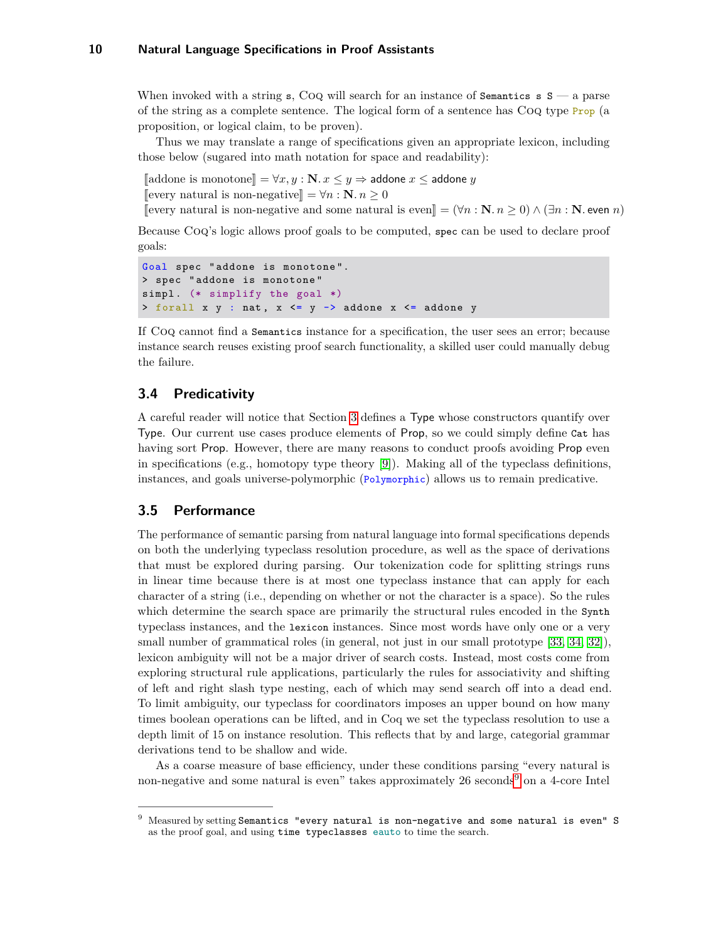When invoked with a string s, Coq will search for an instance of Semantics s  $S - a$  parse of the string as a complete sentence. The logical form of a sentence has Coq type Prop (a proposition, or logical claim, to be proven).

Thus we may translate a range of specifications given an appropriate lexicon, including those below (sugared into math notation for space and readability):

 $\llbracket$ addone is monotone $\llbracket = \forall x, y : \mathbb{N}. x \leq y \Rightarrow$  addone *x* ≤ addone *y* 

[every natural is non-negative]] =  $∀n : N, n ≥ 0$ 

<sup>J</sup>every natural is non-negative and some natural is even<sup>K</sup> = (∀*<sup>n</sup>* : **<sup>N</sup>***. n* <sup>≥</sup> 0) <sup>∧</sup> (∃*<sup>n</sup>* : **<sup>N</sup>***.* even *<sup>n</sup>*)

Because Coq's logic allows proof goals to be computed, spec can be used to declare proof goals:

```
Goal spec " addone is monotone ".
> spec " addone is monotone "
simpl. (* simplify the goal *)> forall x y : nat, x \leq y \rightarrow addone x \leq addone y
```
If Coq cannot find a Semantics instance for a specification, the user sees an error; because instance search reuses existing proof search functionality, a skilled user could manually debug the failure.

## **3.4 Predicativity**

A careful reader will notice that Section [3](#page-4-1) defines a Type whose constructors quantify over Type. Our current use cases produce elements of Prop, so we could simply define Cat has having sort Prop. However, there are many reasons to conduct proofs avoiding Prop even in specifications (e.g., homotopy type theory [\[9\]](#page-17-11)). Making all of the typeclass definitions, instances, and goals universe-polymorphic (Polymorphic) allows us to remain predicative.

## **3.5 Performance**

The performance of semantic parsing from natural language into formal specifications depends on both the underlying typeclass resolution procedure, as well as the space of derivations that must be explored during parsing. Our tokenization code for splitting strings runs in linear time because there is at most one typeclass instance that can apply for each character of a string (i.e., depending on whether or not the character is a space). So the rules which determine the search space are primarily the structural rules encoded in the Synth typeclass instances, and the lexicon instances. Since most words have only one or a very small number of grammatical roles (in general, not just in our small prototype [\[33,](#page-18-7) [34,](#page-18-4) [32\]](#page-18-5)), lexicon ambiguity will not be a major driver of search costs. Instead, most costs come from exploring structural rule applications, particularly the rules for associativity and shifting of left and right slash type nesting, each of which may send search off into a dead end. To limit ambiguity, our typeclass for coordinators imposes an upper bound on how many times boolean operations can be lifted, and in Coq we set the typeclass resolution to use a depth limit of 15 on instance resolution. This reflects that by and large, categorial grammar derivations tend to be shallow and wide.

As a coarse measure of base efficiency, under these conditions parsing "every natural is non-negative and some natural is even" takes approximately 26 seconds<sup>[9](#page-9-0)</sup> on a 4-core Intel

<span id="page-9-0"></span><sup>9</sup> Measured by setting Semantics "every natural is non-negative and some natural is even" S as the proof goal, and using time typeclasses eauto to time the search.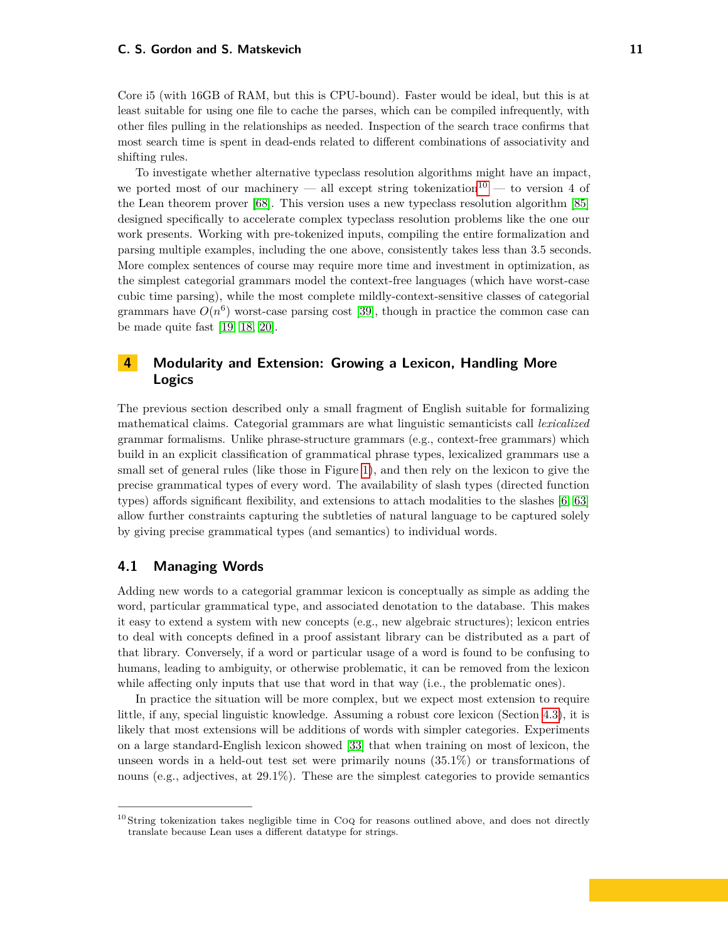#### **C. S. Gordon and S. Matskevich 11 11**

Core i5 (with 16GB of RAM, but this is CPU-bound). Faster would be ideal, but this is at least suitable for using one file to cache the parses, which can be compiled infrequently, with other files pulling in the relationships as needed. Inspection of the search trace confirms that most search time is spent in dead-ends related to different combinations of associativity and shifting rules.

To investigate whether alternative typeclass resolution algorithms might have an impact, we ported most of our machinery — all except string tokenization<sup>[10](#page-10-1)</sup> — to version 4 of the Lean theorem prover [\[68\]](#page-20-13). This version uses a new typeclass resolution algorithm [\[85\]](#page-21-3) designed specifically to accelerate complex typeclass resolution problems like the one our work presents. Working with pre-tokenized inputs, compiling the entire formalization and parsing multiple examples, including the one above, consistently takes less than 3.5 seconds. More complex sentences of course may require more time and investment in optimization, as the simplest categorial grammars model the context-free languages (which have worst-case cubic time parsing), while the most complete mildly-context-sensitive classes of categorial grammars have  $O(n^6)$  worst-case parsing cost [\[39\]](#page-18-6), though in practice the common case can be made quite fast [\[19,](#page-17-12) [18,](#page-17-13) [20\]](#page-17-14).

# <span id="page-10-0"></span>**4 Modularity and Extension: Growing a Lexicon, Handling More Logics**

The previous section described only a small fragment of English suitable for formalizing mathematical claims. Categorial grammars are what linguistic semanticists call *lexicalized* grammar formalisms. Unlike phrase-structure grammars (e.g., context-free grammars) which build in an explicit classification of grammatical phrase types, lexicalized grammars use a small set of general rules (like those in Figure [1\)](#page-3-0), and then rely on the lexicon to give the precise grammatical types of every word. The availability of slash types (directed function types) affords significant flexibility, and extensions to attach modalities to the slashes [\[6,](#page-17-3) [63\]](#page-20-2) allow further constraints capturing the subtleties of natural language to be captured solely by giving precise grammatical types (and semantics) to individual words.

#### **4.1 Managing Words**

Adding new words to a categorial grammar lexicon is conceptually as simple as adding the word, particular grammatical type, and associated denotation to the database. This makes it easy to extend a system with new concepts (e.g., new algebraic structures); lexicon entries to deal with concepts defined in a proof assistant library can be distributed as a part of that library. Conversely, if a word or particular usage of a word is found to be confusing to humans, leading to ambiguity, or otherwise problematic, it can be removed from the lexicon while affecting only inputs that use that word in that way (i.e., the problematic ones).

In practice the situation will be more complex, but we expect most extension to require little, if any, special linguistic knowledge. Assuming a robust core lexicon (Section [4.3\)](#page-11-0), it is likely that most extensions will be additions of words with simpler categories. Experiments on a large standard-English lexicon showed [\[33\]](#page-18-7) that when training on most of lexicon, the unseen words in a held-out test set were primarily nouns (35.1%) or transformations of nouns (e.g., adjectives, at 29.1%). These are the simplest categories to provide semantics

<span id="page-10-1"></span><sup>&</sup>lt;sup>10</sup> String tokenization takes negligible time in CoQ for reasons outlined above, and does not directly translate because Lean uses a different datatype for strings.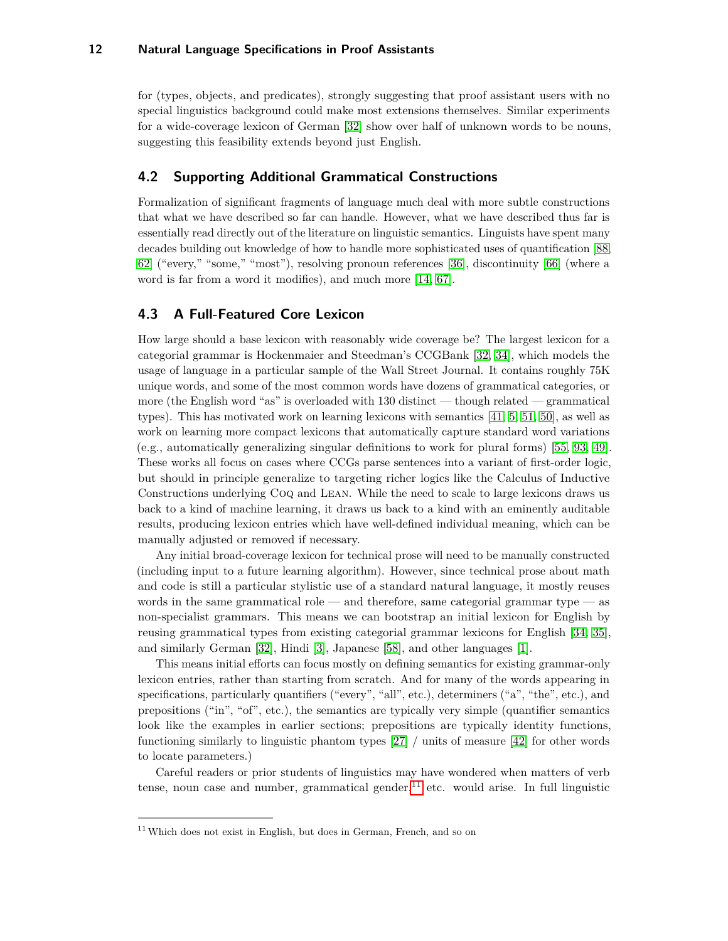for (types, objects, and predicates), strongly suggesting that proof assistant users with no special linguistics background could make most extensions themselves. Similar experiments for a wide-coverage lexicon of German [\[32\]](#page-18-5) show over half of unknown words to be nouns, suggesting this feasibility extends beyond just English.

## **4.2 Supporting Additional Grammatical Constructions**

Formalization of significant fragments of language much deal with more subtle constructions that what we have described so far can handle. However, what we have described thus far is essentially read directly out of the literature on linguistic semantics. Linguists have spent many decades building out knowledge of how to handle more sophisticated uses of quantification [\[88,](#page-21-5) [62\]](#page-20-14) ("every," "some," "most"), resolving pronoun references [\[36\]](#page-18-8), discontinuity [\[66\]](#page-20-15) (where a word is far from a word it modifies), and much more [\[14,](#page-17-10) [67\]](#page-20-3).

## <span id="page-11-0"></span>**4.3 A Full-Featured Core Lexicon**

How large should a base lexicon with reasonably wide coverage be? The largest lexicon for a categorial grammar is Hockenmaier and Steedman's CCGBank [\[32,](#page-18-5) [34\]](#page-18-4), which models the usage of language in a particular sample of the Wall Street Journal. It contains roughly 75K unique words, and some of the most common words have dozens of grammatical categories, or more (the English word "as" is overloaded with 130 distinct — though related — grammatical types). This has motivated work on learning lexicons with semantics [\[41,](#page-19-8) [5,](#page-17-15) [51,](#page-19-9) [50\]](#page-19-10), as well as work on learning more compact lexicons that automatically capture standard word variations (e.g., automatically generalizing singular definitions to work for plural forms) [\[55,](#page-19-11) [93,](#page-21-6) [49\]](#page-19-12). These works all focus on cases where CCGs parse sentences into a variant of first-order logic, but should in principle generalize to targeting richer logics like the Calculus of Inductive Constructions underlying Coq and Lean. While the need to scale to large lexicons draws us back to a kind of machine learning, it draws us back to a kind with an eminently auditable results, producing lexicon entries which have well-defined individual meaning, which can be manually adjusted or removed if necessary.

Any initial broad-coverage lexicon for technical prose will need to be manually constructed (including input to a future learning algorithm). However, since technical prose about math and code is still a particular stylistic use of a standard natural language, it mostly reuses words in the same grammatical role — and therefore, same categorial grammar type — as non-specialist grammars. This means we can bootstrap an initial lexicon for English by reusing grammatical types from existing categorial grammar lexicons for English [\[34,](#page-18-4) [35\]](#page-18-9), and similarly German [\[32\]](#page-18-5), Hindi [\[3\]](#page-17-6), Japanese [\[58\]](#page-19-7), and other languages [\[1\]](#page-16-0).

This means initial efforts can focus mostly on defining semantics for existing grammar-only lexicon entries, rather than starting from scratch. And for many of the words appearing in specifications, particularly quantifiers ("every", "all", etc.), determiners ("a", "the", etc.), and prepositions ("in", "of", etc.), the semantics are typically very simple (quantifier semantics look like the examples in earlier sections; prepositions are typically identity functions, functioning similarly to linguistic phantom types [\[27\]](#page-18-10) / units of measure [\[42\]](#page-19-13) for other words to locate parameters.)

Careful readers or prior students of linguistics may have wondered when matters of verb tense, noun case and number, grammatical gender,  $1<sup>1</sup>$  etc. would arise. In full linguistic

<span id="page-11-1"></span> $11$  Which does not exist in English, but does in German, French, and so on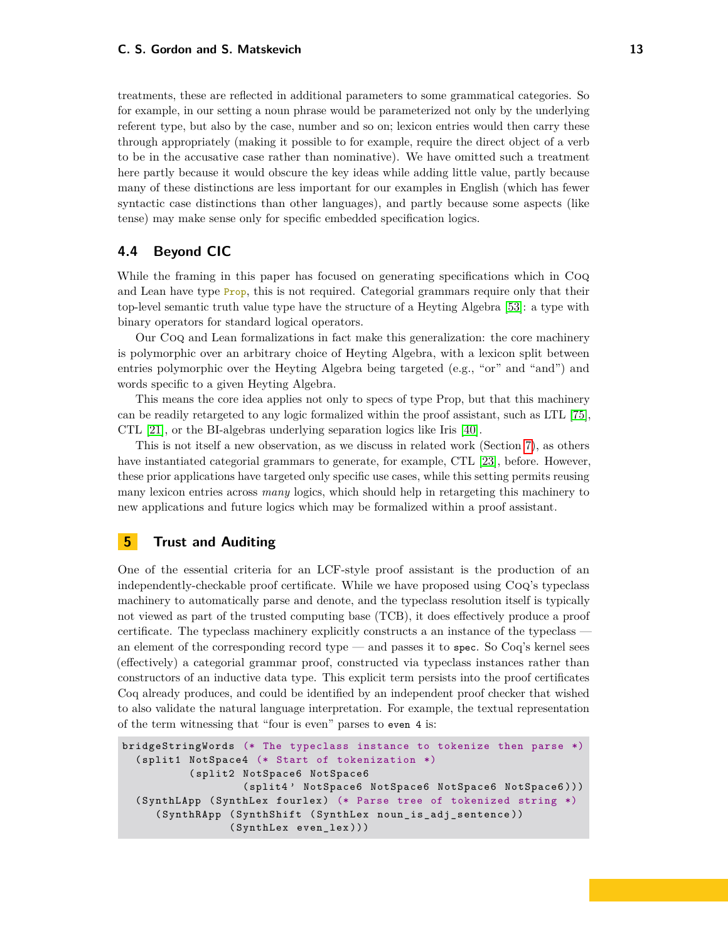treatments, these are reflected in additional parameters to some grammatical categories. So for example, in our setting a noun phrase would be parameterized not only by the underlying referent type, but also by the case, number and so on; lexicon entries would then carry these through appropriately (making it possible to for example, require the direct object of a verb to be in the accusative case rather than nominative). We have omitted such a treatment here partly because it would obscure the key ideas while adding little value, partly because many of these distinctions are less important for our examples in English (which has fewer syntactic case distinctions than other languages), and partly because some aspects (like tense) may make sense only for specific embedded specification logics.

## <span id="page-12-0"></span>**4.4 Beyond CIC**

While the framing in this paper has focused on generating specifications which in Coq and Lean have type **Prop**, this is not required. Categorial grammars require only that their top-level semantic truth value type have the structure of a Heyting Algebra [\[53\]](#page-19-14): a type with binary operators for standard logical operators.

Our Coq and Lean formalizations in fact make this generalization: the core machinery is polymorphic over an arbitrary choice of Heyting Algebra, with a lexicon split between entries polymorphic over the Heyting Algebra being targeted (e.g., "or" and "and") and words specific to a given Heyting Algebra.

This means the core idea applies not only to specs of type Prop, but that this machinery can be readily retargeted to any logic formalized within the proof assistant, such as LTL [\[75\]](#page-20-16), CTL [\[21\]](#page-18-11), or the BI-algebras underlying separation logics like Iris [\[40\]](#page-18-12).

This is not itself a new observation, as we discuss in related work (Section [7\)](#page-14-0), as others have instantiated categorial grammars to generate, for example, CTL [\[23\]](#page-18-13), before. However, these prior applications have targeted only specific use cases, while this setting permits reusing many lexicon entries across *many* logics, which should help in retargeting this machinery to new applications and future logics which may be formalized within a proof assistant.

# **5 Trust and Auditing**

One of the essential criteria for an LCF-style proof assistant is the production of an independently-checkable proof certificate. While we have proposed using Coq's typeclass machinery to automatically parse and denote, and the typeclass resolution itself is typically not viewed as part of the trusted computing base (TCB), it does effectively produce a proof certificate. The typeclass machinery explicitly constructs a an instance of the typeclass an element of the corresponding record type — and passes it to spec. So  $Coq's$  kernel sees (effectively) a categorial grammar proof, constructed via typeclass instances rather than constructors of an inductive data type. This explicit term persists into the proof certificates Coq already produces, and could be identified by an independent proof checker that wished to also validate the natural language interpretation. For example, the textual representation of the term witnessing that "four is even" parses to even 4 is:

```
bridgeStringWords (* The typeclass instance to tokenize then parse *)
  ( split1 NotSpace4 (* Start of tokenization *)
          ( split2 NotSpace6 NotSpace6
                   ( split4 ' NotSpace6 NotSpace6 NotSpace6 NotSpace6 )))
  ( SynthLApp ( SynthLex fourlex ) (* Parse tree of tokenized string *)
     ( SynthRApp ( SynthShift ( SynthLex noun_is_adj_sentence ))
                 ( SynthLex even_lex )))
```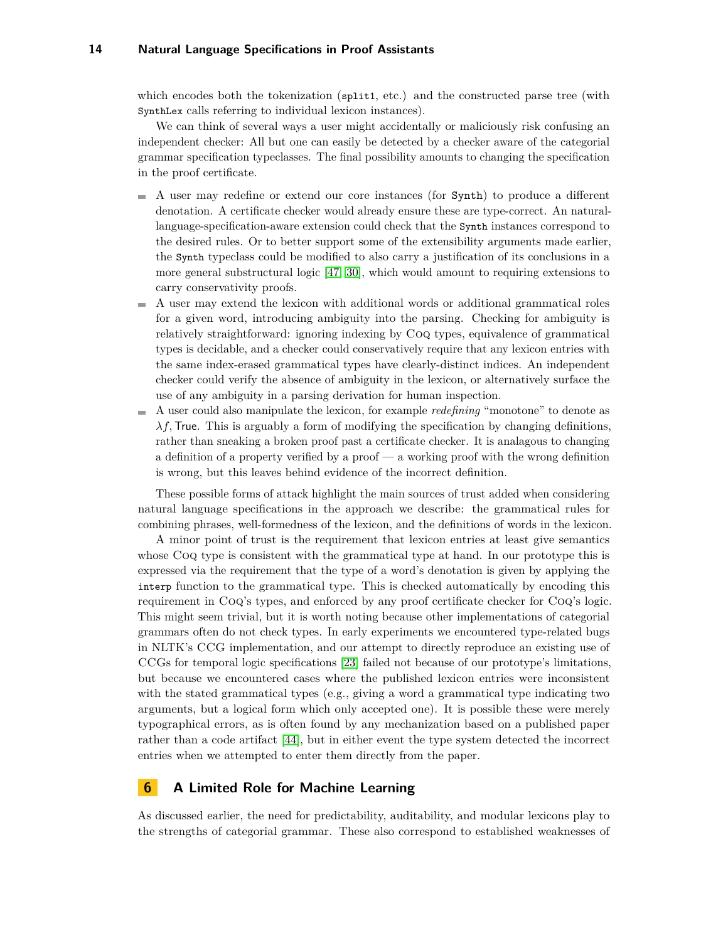which encodes both the tokenization (split1, etc.) and the constructed parse tree (with SynthLex calls referring to individual lexicon instances).

We can think of several ways a user might accidentally or maliciously risk confusing an independent checker: All but one can easily be detected by a checker aware of the categorial grammar specification typeclasses. The final possibility amounts to changing the specification in the proof certificate.

- A user may redefine or extend our core instances (for Synth) to produce a different denotation. A certificate checker would already ensure these are type-correct. An naturallanguage-specification-aware extension could check that the Synth instances correspond to the desired rules. Or to better support some of the extensibility arguments made earlier, the Synth typeclass could be modified to also carry a justification of its conclusions in a more general substructural logic [\[47,](#page-19-3) [30\]](#page-18-3), which would amount to requiring extensions to carry conservativity proofs.
- A user may extend the lexicon with additional words or additional grammatical roles  $\overline{\phantom{a}}$ for a given word, introducing ambiguity into the parsing. Checking for ambiguity is relatively straightforward: ignoring indexing by Coq types, equivalence of grammatical types is decidable, and a checker could conservatively require that any lexicon entries with the same index-erased grammatical types have clearly-distinct indices. An independent checker could verify the absence of ambiguity in the lexicon, or alternatively surface the use of any ambiguity in a parsing derivation for human inspection.
- A user could also manipulate the lexicon, for example *redefining* "monotone" to denote as m.  $\lambda f$ , True. This is arguably a form of modifying the specification by changing definitions, rather than sneaking a broken proof past a certificate checker. It is analagous to changing a definition of a property verified by a proof — a working proof with the wrong definition is wrong, but this leaves behind evidence of the incorrect definition.

These possible forms of attack highlight the main sources of trust added when considering natural language specifications in the approach we describe: the grammatical rules for combining phrases, well-formedness of the lexicon, and the definitions of words in the lexicon.

A minor point of trust is the requirement that lexicon entries at least give semantics whose Coq type is consistent with the grammatical type at hand. In our prototype this is expressed via the requirement that the type of a word's denotation is given by applying the interp function to the grammatical type. This is checked automatically by encoding this requirement in Coq's types, and enforced by any proof certificate checker for Coq's logic. This might seem trivial, but it is worth noting because other implementations of categorial grammars often do not check types. In early experiments we encountered type-related bugs in NLTK's CCG implementation, and our attempt to directly reproduce an existing use of CCGs for temporal logic specifications [\[23\]](#page-18-13) failed not because of our prototype's limitations, but because we encountered cases where the published lexicon entries were inconsistent with the stated grammatical types (e.g., giving a word a grammatical type indicating two arguments, but a logical form which only accepted one). It is possible these were merely typographical errors, as is often found by any mechanization based on a published paper rather than a code artifact [\[44\]](#page-19-15), but in either event the type system detected the incorrect entries when we attempted to enter them directly from the paper.

## **6 A Limited Role for Machine Learning**

As discussed earlier, the need for predictability, auditability, and modular lexicons play to the strengths of categorial grammar. These also correspond to established weaknesses of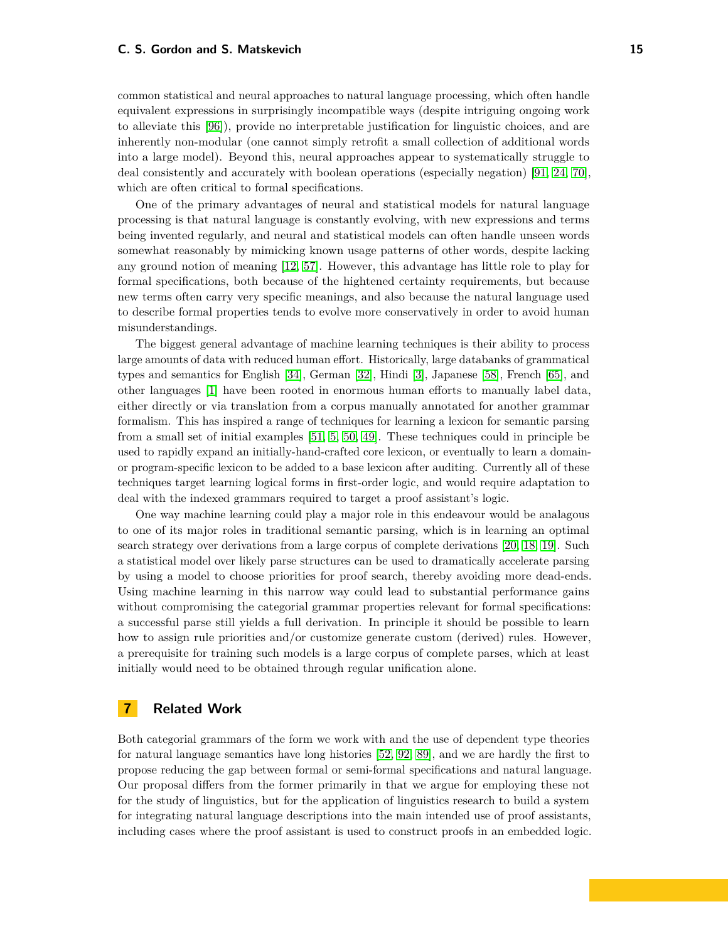#### **C. S. Gordon and S. Matskevich 15**

common statistical and neural approaches to natural language processing, which often handle equivalent expressions in surprisingly incompatible ways (despite intriguing ongoing work to alleviate this [\[96\]](#page-21-7)), provide no interpretable justification for linguistic choices, and are inherently non-modular (one cannot simply retrofit a small collection of additional words into a large model). Beyond this, neural approaches appear to systematically struggle to deal consistently and accurately with boolean operations (especially negation) [\[91,](#page-21-8) [24,](#page-18-14) [70\]](#page-20-17), which are often critical to formal specifications.

One of the primary advantages of neural and statistical models for natural language processing is that natural language is constantly evolving, with new expressions and terms being invented regularly, and neural and statistical models can often handle unseen words somewhat reasonably by mimicking known usage patterns of other words, despite lacking any ground notion of meaning [\[12,](#page-17-16) [57\]](#page-19-16). However, this advantage has little role to play for formal specifications, both because of the hightened certainty requirements, but because new terms often carry very specific meanings, and also because the natural language used to describe formal properties tends to evolve more conservatively in order to avoid human misunderstandings.

The biggest general advantage of machine learning techniques is their ability to process large amounts of data with reduced human effort. Historically, large databanks of grammatical types and semantics for English [\[34\]](#page-18-4), German [\[32\]](#page-18-5), Hindi [\[3\]](#page-17-6), Japanese [\[58\]](#page-19-7), French [\[65\]](#page-20-8), and other languages [\[1\]](#page-16-0) have been rooted in enormous human efforts to manually label data, either directly or via translation from a corpus manually annotated for another grammar formalism. This has inspired a range of techniques for learning a lexicon for semantic parsing from a small set of initial examples [\[51,](#page-19-9) [5,](#page-17-15) [50,](#page-19-10) [49\]](#page-19-12). These techniques could in principle be used to rapidly expand an initially-hand-crafted core lexicon, or eventually to learn a domainor program-specific lexicon to be added to a base lexicon after auditing. Currently all of these techniques target learning logical forms in first-order logic, and would require adaptation to deal with the indexed grammars required to target a proof assistant's logic.

One way machine learning could play a major role in this endeavour would be analagous to one of its major roles in traditional semantic parsing, which is in learning an optimal search strategy over derivations from a large corpus of complete derivations [\[20,](#page-17-14) [18,](#page-17-13) [19\]](#page-17-12). Such a statistical model over likely parse structures can be used to dramatically accelerate parsing by using a model to choose priorities for proof search, thereby avoiding more dead-ends. Using machine learning in this narrow way could lead to substantial performance gains without compromising the categorial grammar properties relevant for formal specifications: a successful parse still yields a full derivation. In principle it should be possible to learn how to assign rule priorities and/or customize generate custom (derived) rules. However, a prerequisite for training such models is a large corpus of complete parses, which at least initially would need to be obtained through regular unification alone.

# <span id="page-14-0"></span>**7 Related Work**

Both categorial grammars of the form we work with and the use of dependent type theories for natural language semantics have long histories [\[52,](#page-19-2) [92,](#page-21-9) [89\]](#page-21-4), and we are hardly the first to propose reducing the gap between formal or semi-formal specifications and natural language. Our proposal differs from the former primarily in that we argue for employing these not for the study of linguistics, but for the application of linguistics research to build a system for integrating natural language descriptions into the main intended use of proof assistants, including cases where the proof assistant is used to construct proofs in an embedded logic.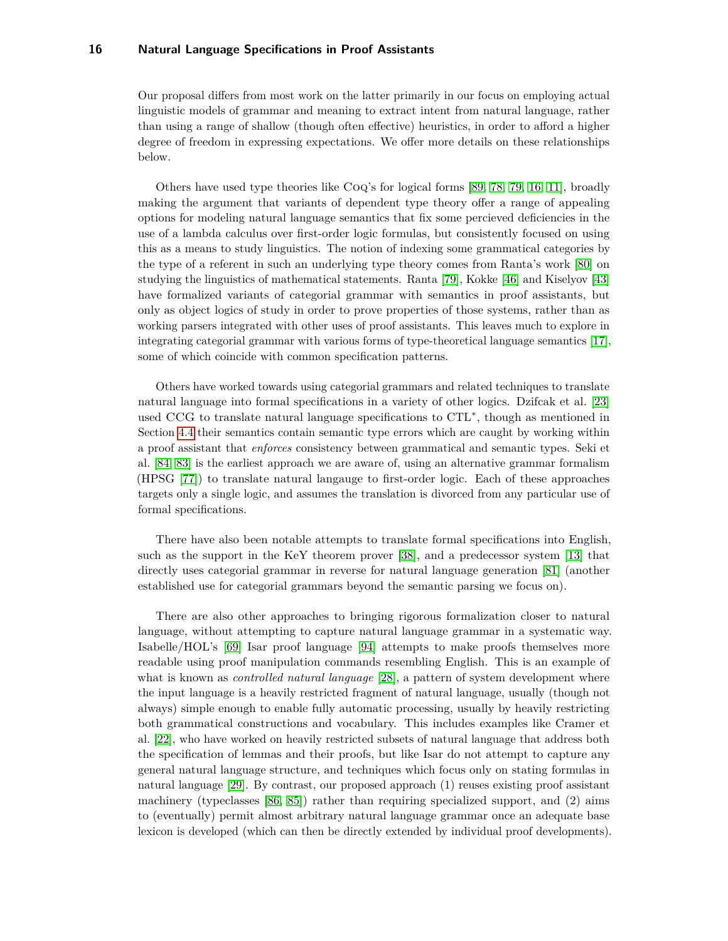Our proposal differs from most work on the latter primarily in our focus on employing actual linguistic models of grammar and meaning to extract intent from natural language, rather than using a range of shallow (though often effective) heuristics, in order to afford a higher degree of freedom in expressing expectations. We offer more details on these relationships below.

Others have used type theories like Coq's for logical forms [\[89,](#page-21-4) [78,](#page-20-10) [79,](#page-20-7) [16,](#page-17-8) [11\]](#page-17-4), broadly making the argument that variants of dependent type theory offer a range of appealing options for modeling natural language semantics that fix some percieved deficiencies in the use of a lambda calculus over first-order logic formulas, but consistently focused on using this as a means to study linguistics. The notion of indexing some grammatical categories by the type of a referent in such an underlying type theory comes from Ranta's work [\[80\]](#page-20-11) on studying the linguistics of mathematical statements. Ranta [\[79\]](#page-20-7), Kokke [\[46\]](#page-19-17) and Kiselyov [\[43\]](#page-19-18) have formalized variants of categorial grammar with semantics in proof assistants, but only as object logics of study in order to prove properties of those systems, rather than as working parsers integrated with other uses of proof assistants. This leaves much to explore in integrating categorial grammar with various forms of type-theoretical language semantics [\[17\]](#page-17-5), some of which coincide with common specification patterns.

Others have worked towards using categorial grammars and related techniques to translate natural language into formal specifications in a variety of other logics. Dzifcak et al. [\[23\]](#page-18-13) used CCG to translate natural language specifications to CTL<sup>∗</sup> , though as mentioned in Section [4.4](#page-12-0) their semantics contain semantic type errors which are caught by working within a proof assistant that *enforces* consistency between grammatical and semantic types. Seki et al. [\[84,](#page-21-10) [83\]](#page-21-11) is the earliest approach we are aware of, using an alternative grammar formalism (HPSG [\[77\]](#page-20-18)) to translate natural langauge to first-order logic. Each of these approaches targets only a single logic, and assumes the translation is divorced from any particular use of formal specifications.

There have also been notable attempts to translate formal specifications into English, such as the support in the KeY theorem prover [\[38\]](#page-18-15), and a predecessor system [\[13\]](#page-17-17) that directly uses categorial grammar in reverse for natural language generation [\[81\]](#page-20-19) (another established use for categorial grammars beyond the semantic parsing we focus on).

There are also other approaches to bringing rigorous formalization closer to natural language, without attempting to capture natural language grammar in a systematic way. Isabelle/HOL's [\[69\]](#page-20-20) Isar proof language [\[94\]](#page-21-12) attempts to make proofs themselves more readable using proof manipulation commands resembling English. This is an example of what is known as *controlled natural language* [\[28\]](#page-18-16), a pattern of system development where the input language is a heavily restricted fragment of natural language, usually (though not always) simple enough to enable fully automatic processing, usually by heavily restricting both grammatical constructions and vocabulary. This includes examples like Cramer et al. [\[22\]](#page-18-17), who have worked on heavily restricted subsets of natural language that address both the specification of lemmas and their proofs, but like Isar do not attempt to capture any general natural language structure, and techniques which focus only on stating formulas in natural language [\[29\]](#page-18-18). By contrast, our proposed approach (1) reuses existing proof assistant machinery (typeclasses  $[86, 85]$  $[86, 85]$  $[86, 85]$ ) rather than requiring specialized support, and  $(2)$  aims to (eventually) permit almost arbitrary natural language grammar once an adequate base lexicon is developed (which can then be directly extended by individual proof developments).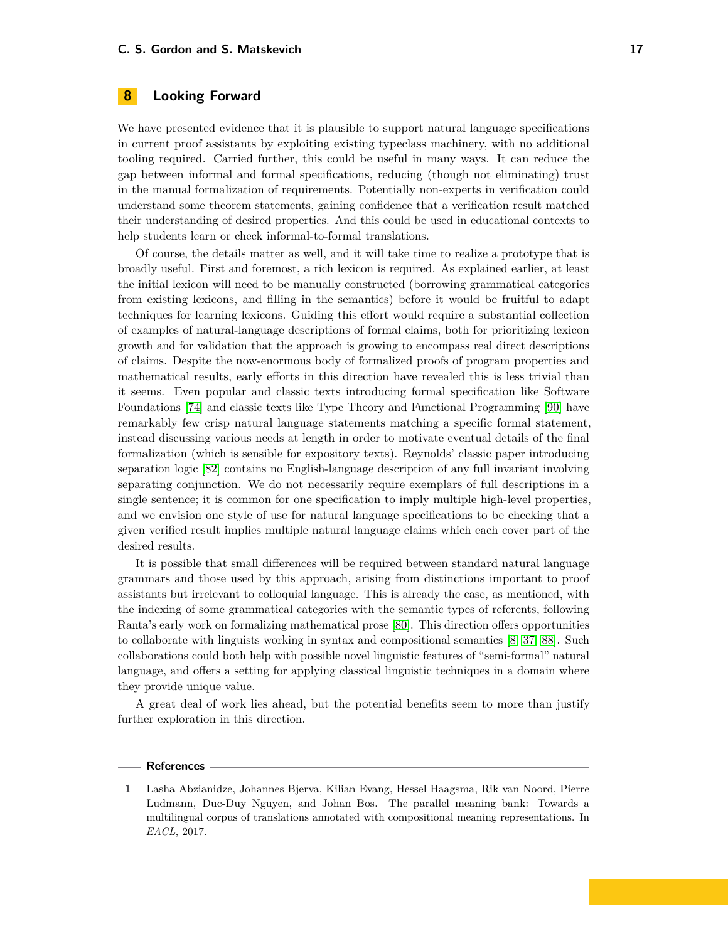## **8 Looking Forward**

We have presented evidence that it is plausible to support natural language specifications in current proof assistants by exploiting existing typeclass machinery, with no additional tooling required. Carried further, this could be useful in many ways. It can reduce the gap between informal and formal specifications, reducing (though not eliminating) trust in the manual formalization of requirements. Potentially non-experts in verification could understand some theorem statements, gaining confidence that a verification result matched their understanding of desired properties. And this could be used in educational contexts to help students learn or check informal-to-formal translations.

Of course, the details matter as well, and it will take time to realize a prototype that is broadly useful. First and foremost, a rich lexicon is required. As explained earlier, at least the initial lexicon will need to be manually constructed (borrowing grammatical categories from existing lexicons, and filling in the semantics) before it would be fruitful to adapt techniques for learning lexicons. Guiding this effort would require a substantial collection of examples of natural-language descriptions of formal claims, both for prioritizing lexicon growth and for validation that the approach is growing to encompass real direct descriptions of claims. Despite the now-enormous body of formalized proofs of program properties and mathematical results, early efforts in this direction have revealed this is less trivial than it seems. Even popular and classic texts introducing formal specification like Software Foundations [\[74\]](#page-20-21) and classic texts like Type Theory and Functional Programming [\[90\]](#page-21-13) have remarkably few crisp natural language statements matching a specific formal statement, instead discussing various needs at length in order to motivate eventual details of the final formalization (which is sensible for expository texts). Reynolds' classic paper introducing separation logic [\[82\]](#page-20-22) contains no English-language description of any full invariant involving separating conjunction. We do not necessarily require exemplars of full descriptions in a single sentence; it is common for one specification to imply multiple high-level properties, and we envision one style of use for natural language specifications to be checking that a given verified result implies multiple natural language claims which each cover part of the desired results.

It is possible that small differences will be required between standard natural language grammars and those used by this approach, arising from distinctions important to proof assistants but irrelevant to colloquial language. This is already the case, as mentioned, with the indexing of some grammatical categories with the semantic types of referents, following Ranta's early work on formalizing mathematical prose [\[80\]](#page-20-11). This direction offers opportunities to collaborate with linguists working in syntax and compositional semantics [\[8,](#page-17-18) [37,](#page-18-19) [88\]](#page-21-5). Such collaborations could both help with possible novel linguistic features of "semi-formal" natural language, and offers a setting for applying classical linguistic techniques in a domain where they provide unique value.

A great deal of work lies ahead, but the potential benefits seem to more than justify further exploration in this direction.

#### **References**

<span id="page-16-0"></span>**<sup>1</sup>** Lasha Abzianidze, Johannes Bjerva, Kilian Evang, Hessel Haagsma, Rik van Noord, Pierre Ludmann, Duc-Duy Nguyen, and Johan Bos. The parallel meaning bank: Towards a multilingual corpus of translations annotated with compositional meaning representations. In *EACL*, 2017.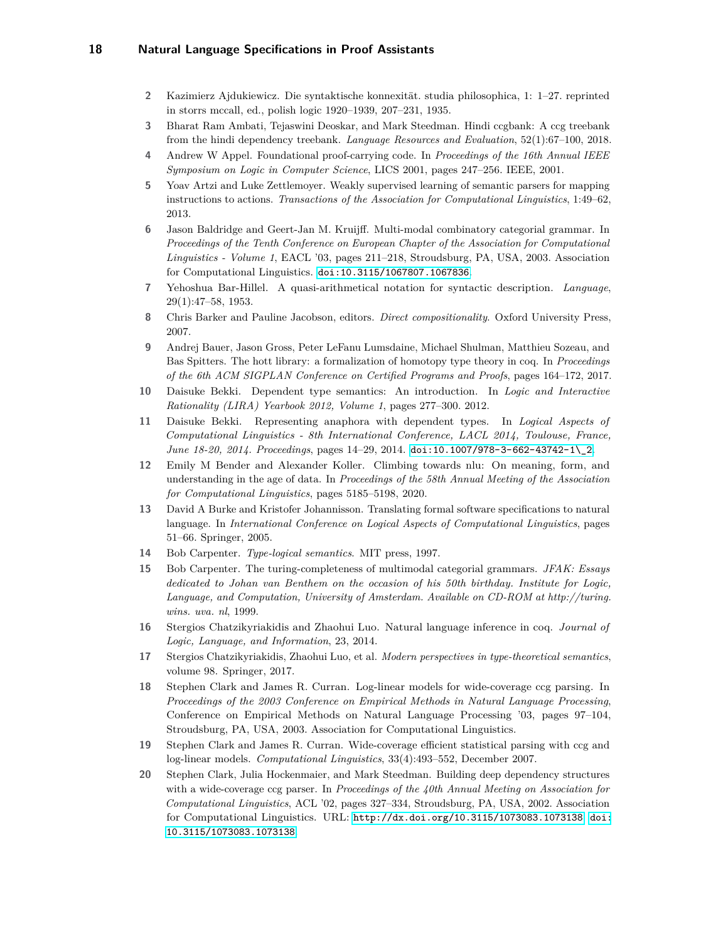- <span id="page-17-1"></span>**2** Kazimierz Ajdukiewicz. Die syntaktische konnexität. studia philosophica, 1: 1–27. reprinted in storrs mccall, ed., polish logic 1920–1939, 207–231, 1935.
- <span id="page-17-6"></span>**3** Bharat Ram Ambati, Tejaswini Deoskar, and Mark Steedman. Hindi ccgbank: A ccg treebank from the hindi dependency treebank. *Language Resources and Evaluation*, 52(1):67–100, 2018.
- <span id="page-17-0"></span>**4** Andrew W Appel. Foundational proof-carrying code. In *Proceedings of the 16th Annual IEEE Symposium on Logic in Computer Science*, LICS 2001, pages 247–256. IEEE, 2001.
- <span id="page-17-15"></span>**5** Yoav Artzi and Luke Zettlemoyer. Weakly supervised learning of semantic parsers for mapping instructions to actions. *Transactions of the Association for Computational Linguistics*, 1:49–62, 2013.
- <span id="page-17-3"></span>**6** Jason Baldridge and Geert-Jan M. Kruijff. Multi-modal combinatory categorial grammar. In *Proceedings of the Tenth Conference on European Chapter of the Association for Computational Linguistics - Volume 1*, EACL '03, pages 211–218, Stroudsburg, PA, USA, 2003. Association for Computational Linguistics. [doi:10.3115/1067807.1067836](https://doi.org/10.3115/1067807.1067836).
- <span id="page-17-2"></span>**7** Yehoshua Bar-Hillel. A quasi-arithmetical notation for syntactic description. *Language*, 29(1):47–58, 1953.
- <span id="page-17-18"></span>**8** Chris Barker and Pauline Jacobson, editors. *Direct compositionality*. Oxford University Press, 2007.
- <span id="page-17-11"></span>**9** Andrej Bauer, Jason Gross, Peter LeFanu Lumsdaine, Michael Shulman, Matthieu Sozeau, and Bas Spitters. The hott library: a formalization of homotopy type theory in coq. In *Proceedings of the 6th ACM SIGPLAN Conference on Certified Programs and Proofs*, pages 164–172, 2017.
- <span id="page-17-9"></span>**10** Daisuke Bekki. Dependent type semantics: An introduction. In *Logic and Interactive Rationality (LIRA) Yearbook 2012, Volume 1*, pages 277–300. 2012.
- <span id="page-17-4"></span>**11** Daisuke Bekki. Representing anaphora with dependent types. In *Logical Aspects of Computational Linguistics - 8th International Conference, LACL 2014, Toulouse, France, June 18-20, 2014. Proceedings*, pages 14–29, 2014. [doi:10.1007/978-3-662-43742-1\\\_2](https://doi.org/10.1007/978-3-662-43742-1_2).
- <span id="page-17-16"></span>**12** Emily M Bender and Alexander Koller. Climbing towards nlu: On meaning, form, and understanding in the age of data. In *Proceedings of the 58th Annual Meeting of the Association for Computational Linguistics*, pages 5185–5198, 2020.
- <span id="page-17-17"></span>**13** David A Burke and Kristofer Johannisson. Translating formal software specifications to natural language. In *International Conference on Logical Aspects of Computational Linguistics*, pages 51–66. Springer, 2005.
- <span id="page-17-10"></span>**14** Bob Carpenter. *Type-logical semantics*. MIT press, 1997.
- <span id="page-17-7"></span>**15** Bob Carpenter. The turing-completeness of multimodal categorial grammars. *JFAK: Essays dedicated to Johan van Benthem on the occasion of his 50th birthday. Institute for Logic, Language, and Computation, University of Amsterdam. Available on CD-ROM at http://turing. wins. uva. nl*, 1999.
- <span id="page-17-8"></span>**16** Stergios Chatzikyriakidis and Zhaohui Luo. Natural language inference in coq. *Journal of Logic, Language, and Information*, 23, 2014.
- <span id="page-17-5"></span>**17** Stergios Chatzikyriakidis, Zhaohui Luo, et al. *Modern perspectives in type-theoretical semantics*, volume 98. Springer, 2017.
- <span id="page-17-13"></span>**18** Stephen Clark and James R. Curran. Log-linear models for wide-coverage ccg parsing. In *Proceedings of the 2003 Conference on Empirical Methods in Natural Language Processing*, Conference on Empirical Methods on Natural Language Processing '03, pages 97–104, Stroudsburg, PA, USA, 2003. Association for Computational Linguistics.
- <span id="page-17-12"></span>**19** Stephen Clark and James R. Curran. Wide-coverage efficient statistical parsing with ccg and log-linear models. *Computational Linguistics*, 33(4):493–552, December 2007.
- <span id="page-17-14"></span>**20** Stephen Clark, Julia Hockenmaier, and Mark Steedman. Building deep dependency structures with a wide-coverage ccg parser. In *Proceedings of the 40th Annual Meeting on Association for Computational Linguistics*, ACL '02, pages 327–334, Stroudsburg, PA, USA, 2002. Association for Computational Linguistics. URL: <http://dx.doi.org/10.3115/1073083.1073138>, [doi:](https://doi.org/10.3115/1073083.1073138) [10.3115/1073083.1073138](https://doi.org/10.3115/1073083.1073138).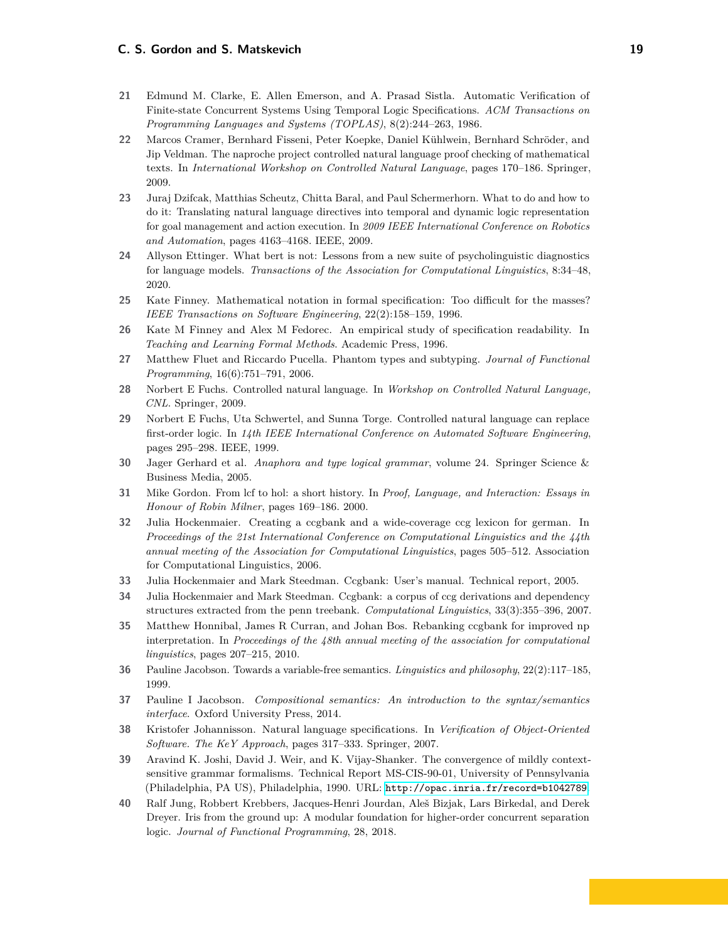- <span id="page-18-11"></span>**21** Edmund M. Clarke, E. Allen Emerson, and A. Prasad Sistla. Automatic Verification of Finite-state Concurrent Systems Using Temporal Logic Specifications. *ACM Transactions on Programming Languages and Systems (TOPLAS)*, 8(2):244–263, 1986.
- <span id="page-18-17"></span>**22** Marcos Cramer, Bernhard Fisseni, Peter Koepke, Daniel Kühlwein, Bernhard Schröder, and Jip Veldman. The naproche project controlled natural language proof checking of mathematical texts. In *International Workshop on Controlled Natural Language*, pages 170–186. Springer, 2009.
- <span id="page-18-13"></span>**23** Juraj Dzifcak, Matthias Scheutz, Chitta Baral, and Paul Schermerhorn. What to do and how to do it: Translating natural language directives into temporal and dynamic logic representation for goal management and action execution. In *2009 IEEE International Conference on Robotics and Automation*, pages 4163–4168. IEEE, 2009.
- <span id="page-18-14"></span>**24** Allyson Ettinger. What bert is not: Lessons from a new suite of psycholinguistic diagnostics for language models. *Transactions of the Association for Computational Linguistics*, 8:34–48, 2020.
- <span id="page-18-1"></span>**25** Kate Finney. Mathematical notation in formal specification: Too difficult for the masses? *IEEE Transactions on Software Engineering*, 22(2):158–159, 1996.
- <span id="page-18-0"></span>**26** Kate M Finney and Alex M Fedorec. An empirical study of specification readability. In *Teaching and Learning Formal Methods*. Academic Press, 1996.
- <span id="page-18-10"></span>**27** Matthew Fluet and Riccardo Pucella. Phantom types and subtyping. *Journal of Functional Programming*, 16(6):751–791, 2006.
- <span id="page-18-16"></span>**28** Norbert E Fuchs. Controlled natural language. In *Workshop on Controlled Natural Language, CNL*. Springer, 2009.
- <span id="page-18-18"></span>**29** Norbert E Fuchs, Uta Schwertel, and Sunna Torge. Controlled natural language can replace first-order logic. In *14th IEEE International Conference on Automated Software Engineering*, pages 295–298. IEEE, 1999.
- <span id="page-18-3"></span>**30** Jager Gerhard et al. *Anaphora and type logical grammar*, volume 24. Springer Science & Business Media, 2005.
- <span id="page-18-2"></span>**31** Mike Gordon. From lcf to hol: a short history. In *Proof, Language, and Interaction: Essays in Honour of Robin Milner*, pages 169–186. 2000.
- <span id="page-18-5"></span>**32** Julia Hockenmaier. Creating a ccgbank and a wide-coverage ccg lexicon for german. In *Proceedings of the 21st International Conference on Computational Linguistics and the 44th annual meeting of the Association for Computational Linguistics*, pages 505–512. Association for Computational Linguistics, 2006.
- <span id="page-18-7"></span>**33** Julia Hockenmaier and Mark Steedman. Ccgbank: User's manual. Technical report, 2005.
- <span id="page-18-4"></span>**34** Julia Hockenmaier and Mark Steedman. Ccgbank: a corpus of ccg derivations and dependency structures extracted from the penn treebank. *Computational Linguistics*, 33(3):355–396, 2007.
- <span id="page-18-9"></span>**35** Matthew Honnibal, James R Curran, and Johan Bos. Rebanking ccgbank for improved np interpretation. In *Proceedings of the 48th annual meeting of the association for computational linguistics*, pages 207–215, 2010.
- <span id="page-18-8"></span>**36** Pauline Jacobson. Towards a variable-free semantics. *Linguistics and philosophy*, 22(2):117–185, 1999.
- <span id="page-18-19"></span>**37** Pauline I Jacobson. *Compositional semantics: An introduction to the syntax/semantics interface*. Oxford University Press, 2014.
- <span id="page-18-15"></span>**38** Kristofer Johannisson. Natural language specifications. In *Verification of Object-Oriented Software. The KeY Approach*, pages 317–333. Springer, 2007.
- <span id="page-18-6"></span>**39** Aravind K. Joshi, David J. Weir, and K. Vijay-Shanker. The convergence of mildly contextsensitive grammar formalisms. Technical Report MS-CIS-90-01, University of Pennsylvania (Philadelphia, PA US), Philadelphia, 1990. URL: <http://opac.inria.fr/record=b1042789>.
- <span id="page-18-12"></span>**40** Ralf Jung, Robbert Krebbers, Jacques-Henri Jourdan, Aleš Bizjak, Lars Birkedal, and Derek Dreyer. Iris from the ground up: A modular foundation for higher-order concurrent separation logic. *Journal of Functional Programming*, 28, 2018.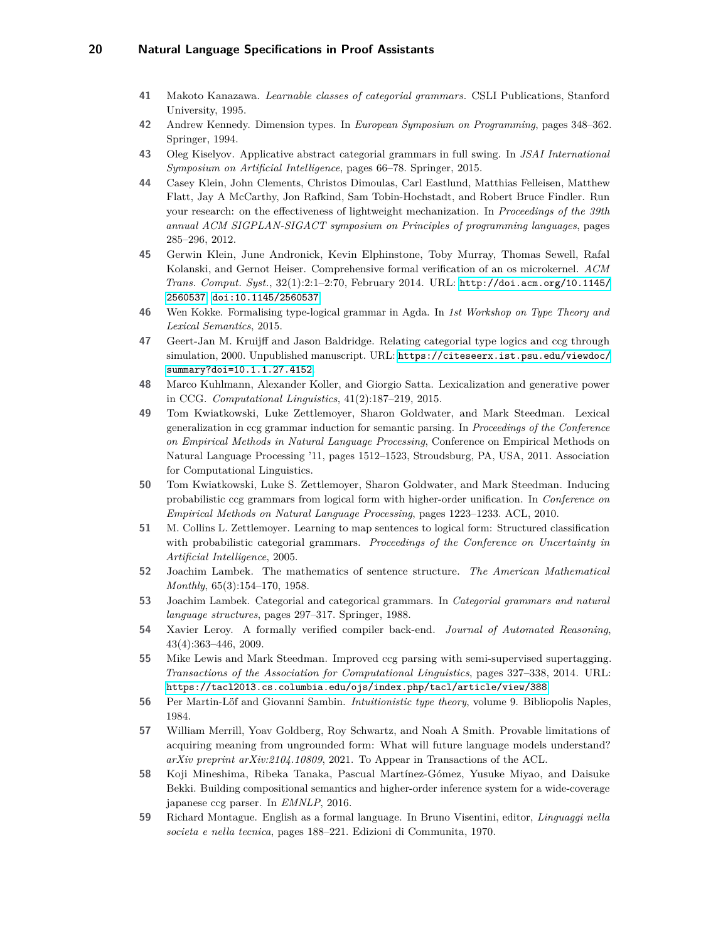- <span id="page-19-8"></span>**41** Makoto Kanazawa. *Learnable classes of categorial grammars.* CSLI Publications, Stanford University, 1995.
- <span id="page-19-13"></span>**42** Andrew Kennedy. Dimension types. In *European Symposium on Programming*, pages 348–362. Springer, 1994.
- <span id="page-19-18"></span>**43** Oleg Kiselyov. Applicative abstract categorial grammars in full swing. In *JSAI International Symposium on Artificial Intelligence*, pages 66–78. Springer, 2015.
- <span id="page-19-15"></span>**44** Casey Klein, John Clements, Christos Dimoulas, Carl Eastlund, Matthias Felleisen, Matthew Flatt, Jay A McCarthy, Jon Rafkind, Sam Tobin-Hochstadt, and Robert Bruce Findler. Run your research: on the effectiveness of lightweight mechanization. In *Proceedings of the 39th annual ACM SIGPLAN-SIGACT symposium on Principles of programming languages*, pages 285–296, 2012.
- <span id="page-19-1"></span>**45** Gerwin Klein, June Andronick, Kevin Elphinstone, Toby Murray, Thomas Sewell, Rafal Kolanski, and Gernot Heiser. Comprehensive formal verification of an os microkernel. *ACM Trans. Comput. Syst.*, 32(1):2:1–2:70, February 2014. URL: [http://doi.acm.org/10.1145/](http://doi.acm.org/10.1145/2560537) [2560537](http://doi.acm.org/10.1145/2560537), [doi:10.1145/2560537](https://doi.org/10.1145/2560537).
- <span id="page-19-17"></span>**46** Wen Kokke. Formalising type-logical grammar in Agda. In *1st Workshop on Type Theory and Lexical Semantics*, 2015.
- <span id="page-19-3"></span>**47** Geert-Jan M. Kruijff and Jason Baldridge. Relating categorial type logics and ccg through simulation, 2000. Unpublished manuscript. URL: [https://citeseerx.ist.psu.edu/viewdoc/](https://citeseerx.ist.psu.edu/viewdoc/summary?doi=10.1.1.27.4152) [summary?doi=10.1.1.27.4152](https://citeseerx.ist.psu.edu/viewdoc/summary?doi=10.1.1.27.4152).
- <span id="page-19-6"></span>**48** Marco Kuhlmann, Alexander Koller, and Giorgio Satta. Lexicalization and generative power in CCG. *Computational Linguistics*, 41(2):187–219, 2015.
- <span id="page-19-12"></span>**49** Tom Kwiatkowski, Luke Zettlemoyer, Sharon Goldwater, and Mark Steedman. Lexical generalization in ccg grammar induction for semantic parsing. In *Proceedings of the Conference on Empirical Methods in Natural Language Processing*, Conference on Empirical Methods on Natural Language Processing '11, pages 1512–1523, Stroudsburg, PA, USA, 2011. Association for Computational Linguistics.
- <span id="page-19-10"></span>**50** Tom Kwiatkowski, Luke S. Zettlemoyer, Sharon Goldwater, and Mark Steedman. Inducing probabilistic ccg grammars from logical form with higher-order unification. In *Conference on Empirical Methods on Natural Language Processing*, pages 1223–1233. ACL, 2010.
- <span id="page-19-9"></span>**51** M. Collins L. Zettlemoyer. Learning to map sentences to logical form: Structured classification with probabilistic categorial grammars. *Proceedings of the Conference on Uncertainty in Artificial Intelligence*, 2005.
- <span id="page-19-2"></span>**52** Joachim Lambek. The mathematics of sentence structure. *The American Mathematical Monthly*, 65(3):154–170, 1958.
- <span id="page-19-14"></span>**53** Joachim Lambek. Categorial and categorical grammars. In *Categorial grammars and natural language structures*, pages 297–317. Springer, 1988.
- <span id="page-19-0"></span>**54** Xavier Leroy. A formally verified compiler back-end. *Journal of Automated Reasoning*, 43(4):363–446, 2009.
- <span id="page-19-11"></span>**55** Mike Lewis and Mark Steedman. Improved ccg parsing with semi-supervised supertagging. *Transactions of the Association for Computational Linguistics*, pages 327–338, 2014. URL: <https://tacl2013.cs.columbia.edu/ojs/index.php/tacl/article/view/388>.
- <span id="page-19-5"></span>**56** Per Martin-Löf and Giovanni Sambin. *Intuitionistic type theory*, volume 9. Bibliopolis Naples, 1984.
- <span id="page-19-16"></span>**57** William Merrill, Yoav Goldberg, Roy Schwartz, and Noah A Smith. Provable limitations of acquiring meaning from ungrounded form: What will future language models understand? *arXiv preprint arXiv:2104.10809*, 2021. To Appear in Transactions of the ACL.
- <span id="page-19-7"></span>**58** Koji Mineshima, Ribeka Tanaka, Pascual Martínez-Gómez, Yusuke Miyao, and Daisuke Bekki. Building compositional semantics and higher-order inference system for a wide-coverage japanese ccg parser. In *EMNLP*, 2016.
- <span id="page-19-4"></span>**59** Richard Montague. English as a formal language. In Bruno Visentini, editor, *Linguaggi nella societa e nella tecnica*, pages 188–221. Edizioni di Communita, 1970.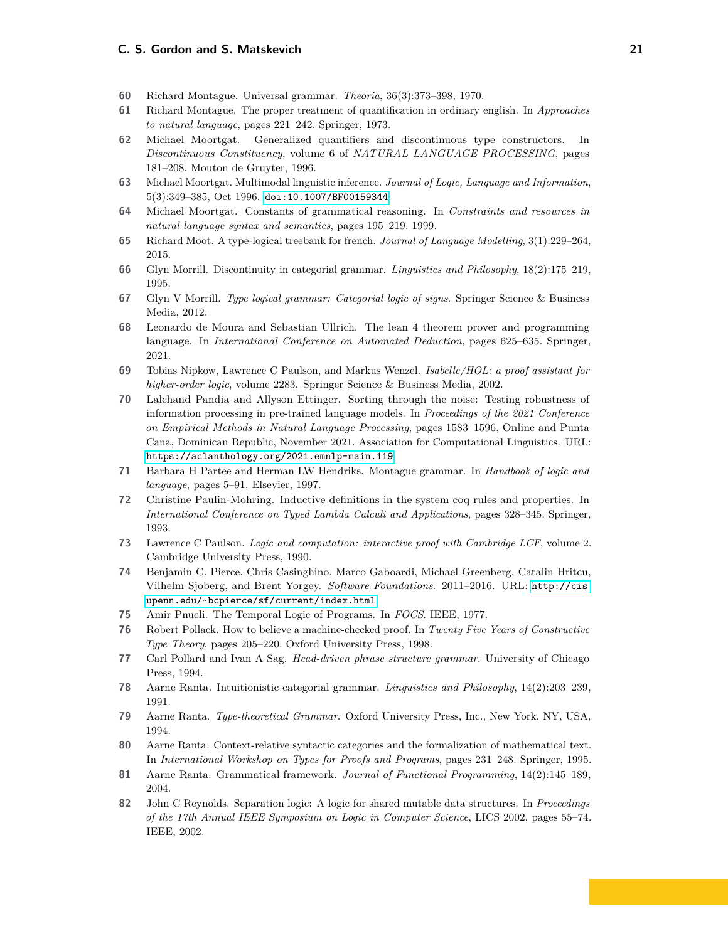#### **C. S. Gordon and S. Matskevich 21**

- <span id="page-20-4"></span>**60** Richard Montague. Universal grammar. *Theoria*, 36(3):373–398, 1970.
- <span id="page-20-5"></span>**61** Richard Montague. The proper treatment of quantification in ordinary english. In *Approaches to natural language*, pages 221–242. Springer, 1973.
- <span id="page-20-14"></span>**62** Michael Moortgat. Generalized quantifiers and discontinuous type constructors. In *Discontinuous Constituency*, volume 6 of *NATURAL LANGUAGE PROCESSING*, pages 181–208. Mouton de Gruyter, 1996.
- <span id="page-20-2"></span>**63** Michael Moortgat. Multimodal linguistic inference. *Journal of Logic, Language and Information*, 5(3):349–385, Oct 1996. [doi:10.1007/BF00159344](https://doi.org/10.1007/BF00159344).
- <span id="page-20-12"></span>**64** Michael Moortgat. Constants of grammatical reasoning. In *Constraints and resources in natural language syntax and semantics*, pages 195–219. 1999.
- <span id="page-20-8"></span>**65** Richard Moot. A type-logical treebank for french. *Journal of Language Modelling*, 3(1):229–264, 2015.
- <span id="page-20-15"></span>**66** Glyn Morrill. Discontinuity in categorial grammar. *Linguistics and Philosophy*, 18(2):175–219, 1995.
- <span id="page-20-3"></span>**67** Glyn V Morrill. *Type logical grammar: Categorial logic of signs*. Springer Science & Business Media, 2012.
- <span id="page-20-13"></span>**68** Leonardo de Moura and Sebastian Ullrich. The lean 4 theorem prover and programming language. In *International Conference on Automated Deduction*, pages 625–635. Springer, 2021.
- <span id="page-20-20"></span>**69** Tobias Nipkow, Lawrence C Paulson, and Markus Wenzel. *Isabelle/HOL: a proof assistant for higher-order logic*, volume 2283. Springer Science & Business Media, 2002.
- <span id="page-20-17"></span>**70** Lalchand Pandia and Allyson Ettinger. Sorting through the noise: Testing robustness of information processing in pre-trained language models. In *Proceedings of the 2021 Conference on Empirical Methods in Natural Language Processing*, pages 1583–1596, Online and Punta Cana, Dominican Republic, November 2021. Association for Computational Linguistics. URL: <https://aclanthology.org/2021.emnlp-main.119>.
- <span id="page-20-6"></span>**71** Barbara H Partee and Herman LW Hendriks. Montague grammar. In *Handbook of logic and language*, pages 5–91. Elsevier, 1997.
- <span id="page-20-9"></span>**72** Christine Paulin-Mohring. Inductive definitions in the system coq rules and properties. In *International Conference on Typed Lambda Calculi and Applications*, pages 328–345. Springer, 1993.
- <span id="page-20-0"></span>**73** Lawrence C Paulson. *Logic and computation: interactive proof with Cambridge LCF*, volume 2. Cambridge University Press, 1990.
- <span id="page-20-21"></span>**74** Benjamin C. Pierce, Chris Casinghino, Marco Gaboardi, Michael Greenberg, Catalin Hritcu, Vilhelm Sjoberg, and Brent Yorgey. *Software Foundations*. 2011–2016. URL: [http://cis.](http://cis.upenn.edu/~bcpierce/sf/current/index.html) [upenn.edu/~bcpierce/sf/current/index.html](http://cis.upenn.edu/~bcpierce/sf/current/index.html).
- <span id="page-20-16"></span>**75** Amir Pnueli. The Temporal Logic of Programs. In *FOCS*. IEEE, 1977.
- <span id="page-20-1"></span>**76** Robert Pollack. How to believe a machine-checked proof. In *Twenty Five Years of Constructive Type Theory*, pages 205–220. Oxford University Press, 1998.
- <span id="page-20-18"></span>**77** Carl Pollard and Ivan A Sag. *Head-driven phrase structure grammar*. University of Chicago Press, 1994.
- <span id="page-20-10"></span>**78** Aarne Ranta. Intuitionistic categorial grammar. *Linguistics and Philosophy*, 14(2):203–239, 1991.
- <span id="page-20-7"></span>**79** Aarne Ranta. *Type-theoretical Grammar*. Oxford University Press, Inc., New York, NY, USA, 1994.
- <span id="page-20-11"></span>**80** Aarne Ranta. Context-relative syntactic categories and the formalization of mathematical text. In *International Workshop on Types for Proofs and Programs*, pages 231–248. Springer, 1995.
- <span id="page-20-19"></span>**81** Aarne Ranta. Grammatical framework. *Journal of Functional Programming*, 14(2):145–189, 2004.
- <span id="page-20-22"></span>**82** John C Reynolds. Separation logic: A logic for shared mutable data structures. In *Proceedings of the 17th Annual IEEE Symposium on Logic in Computer Science*, LICS 2002, pages 55–74. IEEE, 2002.